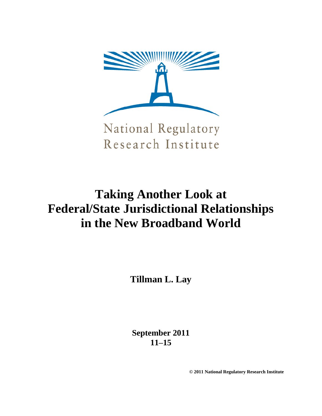

Research Institute

# **Taking Another Look at Federal/State Jurisdictional Relationships in the New Broadband World**

**Tillman L. Lay**

**September 2011 11–15**

**© 2011 National Regulatory Research Institute**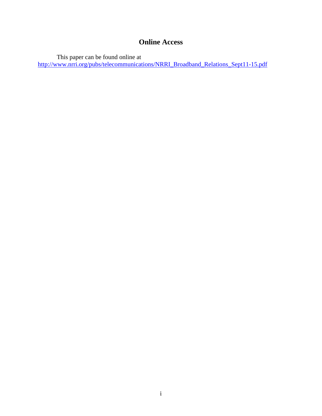# **Online Access**

This paper can be found online at

[http://www.nrri.org/pubs/telecommunications/NRRI\\_Broadband\\_Relations\\_Sept11-15.pdf](http://www.nrri.org/pubs/telecommunications/NRRI_Broadband_Relations_Sept11-15.pdf)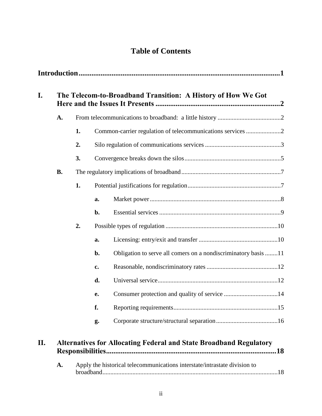# **Table of Contents**

| A.        |    |    |                                                                |  |  |  |
|-----------|----|----|----------------------------------------------------------------|--|--|--|
|           | 1. |    |                                                                |  |  |  |
|           | 2. |    |                                                                |  |  |  |
|           | 3. |    |                                                                |  |  |  |
| <b>B.</b> |    |    |                                                                |  |  |  |
|           | 1. |    |                                                                |  |  |  |
|           |    | a. |                                                                |  |  |  |
|           |    | b. |                                                                |  |  |  |
|           | 2. |    |                                                                |  |  |  |
|           |    | a. |                                                                |  |  |  |
|           |    | b. | Obligation to serve all comers on a nondiscriminatory basis 11 |  |  |  |
|           |    | c. |                                                                |  |  |  |
|           |    | d. |                                                                |  |  |  |
|           |    | e. |                                                                |  |  |  |
|           |    | f. |                                                                |  |  |  |
|           |    | g. |                                                                |  |  |  |

[broadband...............................................................................................................18](#page-21-1)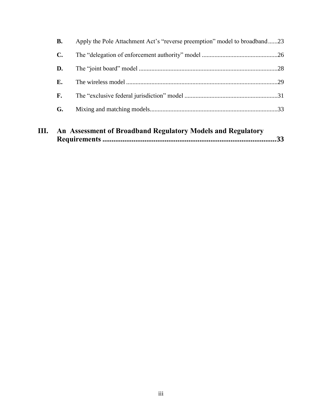| В.             | Apply the Pole Attachment Act's "reverse preemption" model to broadband23 |  |
|----------------|---------------------------------------------------------------------------|--|
| $\mathbf{C}$ . |                                                                           |  |
| D.             |                                                                           |  |
| Е.             |                                                                           |  |
| F.             |                                                                           |  |
| G.             |                                                                           |  |
|                |                                                                           |  |

| Ш. | An Assessment of Broadband Regulatory Models and Regulatory |  |
|----|-------------------------------------------------------------|--|
|    |                                                             |  |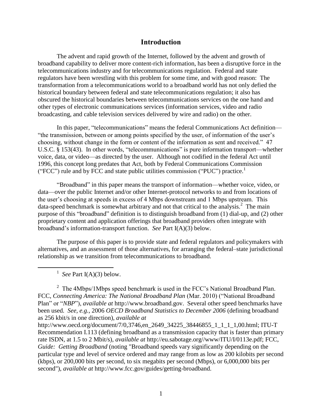# **Introduction**

<span id="page-4-0"></span>The advent and rapid growth of the Internet, followed by the advent and growth of broadband capability to deliver more content-rich information, has been a disruptive force in the telecommunications industry and for telecommunications regulation. Federal and state regulators have been wrestling with this problem for some time, and with good reason: The transformation from a telecommunications world to a broadband world has not only defied the historical boundary between federal and state telecommunications regulation; it also has obscured the historical boundaries between telecommunications services on the one hand and other types of electronic communications services (information services, video and radio broadcasting, and cable television services delivered by wire and radio) on the other.

In this paper, "telecommunications" means the federal Communications Act definition— ―the transmission, between or among points specified by the user, of information of the user's choosing, without change in the form or content of the information as sent and received." 47 U.S.C.  $\S$  153(43). In other words, "telecommunications" is pure information transport—whether voice, data, or video—as directed by the user. Although not codified in the federal Act until 1996, this concept long predates that Act, both by Federal Communications Commission ("FCC") rule and by FCC and state public utilities commission ("PUC") practice.<sup>1</sup>

―Broadband‖ in this paper means the transport of information—whether voice, video, or data—over the public Internet and/or other Internet-protocol networks to and from locations of the user's choosing at speeds in excess of 4 Mbps downstream and 1 Mbps upstream. This data-speed benchmark is somewhat arbitrary and not that critical to the analysis.<sup>2</sup> The main purpose of this "broadband" definition is to distinguish broadband from (1) dial-up, and (2) other proprietary content and application offerings that broadband providers often integrate with broadband's information-transport function. *See* Part I(A)(3) below.

The purpose of this paper is to provide state and federal regulators and policymakers with alternatives, and an assessment of those alternatives, for arranging the federal–state jurisdictional relationship as we transition from telecommunications to broadband.

<sup>1</sup> See Part I(A)(3) below.

 $\overline{a}$ 

<sup>2</sup> The 4Mbps/1Mbps speed benchmark is used in the FCC's National Broadband Plan. FCC, *Connecting America: The National Broadband Plan* (Mar. 2010) ("National Broadband Plan" or "*NBP*"), *available at* http://www.broadband.gov. Several other speed benchmarks have been used. *See, e.g.*, 2006 *OECD Broadband Statistics to December 2006* (defining broadband as 256 kbit/s in one direction), *available at* 

http://www.oecd.org/document/7/0,3746,en\_2649\_34225\_38446855\_1\_1\_1\_1,00.html; ITU-T Recommendation I.113 (defining broadband as a transmission capacity that is faster than primary rate ISDN, at 1.5 to 2 Mbit/s), *available at* http://eu.sabotage.org//www/ITU/I/0113e.pdf; FCC, *Guide: Getting Broadband* (noting "Broadband speeds vary significantly depending on the particular type and level of service ordered and may range from as low as 200 kilobits per second (kbps), or 200,000 bits per second, to six megabits per second (Mbps), or 6,000,000 bits per second"), *available at* http://www.fcc.gov/guides/getting-broadband.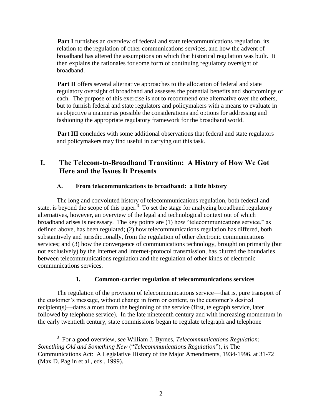**Part [I](#page-5-0)** furnishes an overview of federal and state telecommunications regulation, its relation to the regulation of other communications services, and how the advent of broadband has altered the assumptions on which that historical regulation was built. It then explains the rationales for some form of continuing regulatory oversight of broadband.

**Part [II](#page-21-0)** offers several alternative approaches to the allocation of federal and state regulatory oversight of broadband and assesses the potential benefits and shortcomings of each. The purpose of this exercise is not to recommend one alternative over the others, but to furnish federal and state regulators and policymakers with a means to evaluate in as objective a manner as possible the considerations and options for addressing and fashioning the appropriate regulatory framework for the broadband world.

**Part [III](#page-36-1)** concludes with some additional observations that federal and state regulators and policymakers may find useful in carrying out this task.

# <span id="page-5-0"></span>**I. The Telecom-to-Broadband Transition: A History of How We Got Here and the Issues It Presents**

# **A. From telecommunications to broadband: a little history**

<span id="page-5-1"></span>The long and convoluted history of telecommunications regulation, both federal and state, is beyond the scope of this paper.<sup>3</sup> To set the stage for analyzing broadband regulatory alternatives, however, an overview of the legal and technological context out of which broadband arises is necessary. The key points are  $(1)$  how "telecommunications service," as defined above, has been regulated; (2) how telecommunications regulation has differed, both substantively and jurisdictionally, from the regulation of other electronic communications services; and (3) how the convergence of communications technology, brought on primarily (but not exclusively) by the Internet and Internet-protocol transmission, has blurred the boundaries between telecommunications regulation and the regulation of other kinds of electronic communications services.

# **1. Common-carrier regulation of telecommunications services**

<span id="page-5-2"></span>The regulation of the provision of telecommunications service—that is, pure transport of the customer's message, without change in form or content, to the customer's desired recipient(s)—dates almost from the beginning of the service (first, telegraph service, later followed by telephone service). In the late nineteenth century and with increasing momentum in the early twentieth century, state commissions began to regulate telegraph and telephone

 $\overline{a}$ 

<sup>3</sup> For a good overview, *see* William J. Byrnes, *Telecommunications Regulation: Something Old and Something New ("Telecommunications Regulation"), in The* Communications Act: A Legislative History of the Major Amendments, 1934-1996, at 31-72 (Max D. Paglin et al., eds., 1999).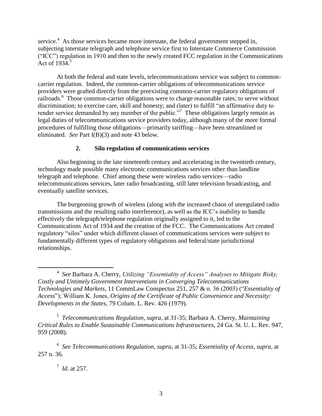service.<sup>4</sup> As those services became more interstate, the federal government stepped in, subjecting interstate telegraph and telephone service first to Interstate Commerce Commission (―ICC‖) regulation in 1910 and then to the newly created FCC regulation in the Communications Act of  $1934<sup>5</sup>$ 

At both the federal and state levels, telecommunications service was subject to commoncarrier regulation. Indeed, the common-carrier obligations of telecommunications service providers were grafted directly from the preexisting common-carrier regulatory obligations of railroads.<sup>6</sup> Those common-carrier obligations were to charge reasonable rates; to serve without discrimination; to exercise care, skill and honesty; and (later) to fulfill "an affirmative duty to render service demanded by any member of the public.<sup>"7</sup> These obligations largely remain as legal duties of telecommunications service providers today, although many of the more formal procedures of fulfilling those obligations—primarily tariffing—have been streamlined or eliminated. *See* Part I(B)(3) and note 43 below.

#### **2. Silo regulation of communications services**

<span id="page-6-0"></span>Also beginning in the late nineteenth century and accelerating in the twentieth century, technology made possible many electronic communications services other than landline telegraph and telephone. Chief among these were wireless radio services—radio telecommunications services, later radio broadcasting, still later television broadcasting, and eventually satellite services.

The burgeoning growth of wireless (along with the increased chaos of unregulated radio transmissions and the resulting radio interference), as well as the ICC's inability to handle effectively the telegraph/telephone regulation originally assigned to it, led to the Communications Act of 1934 and the creation of the FCC. The Communications Act created regulatory "silos" under which different classes of communications services were subject to fundamentally different types of regulatory obligations and federal/state jurisdictional relationships.

5 *Telecommunications Regulation*, *supra*, at 31-35; Barbara A. Cherry, *Maintaining Critical Rules to Enable Sustainable Communications Infrastructures*, 24 Ga. St. U. L. Rev. 947, 959 (2008).

6 *See Telecommunications Regulation*, *supra*, at 31-35; *Essentiality of Access*, *supra,* at 257 n. 36.

7 *Id.* at 257.

 $\overline{a}$ 

<sup>4</sup> *See* Barbara A. Cherry, *Utilizing "Essentiality of Access" Analyses to Mitigate Risky, Costly and Untimely Government Interventions in Converging Telecommunications Technologies and Markets*, 11 CommLaw Conspectus 251, 257 & n. 36 (2003) ("Essentiality of *Access*‖); William K. Jones, *Origins of the Certificate of Public Convenience and Necessity: Developments in the States*, 79 Colum. L. Rev*.* 426 (1979).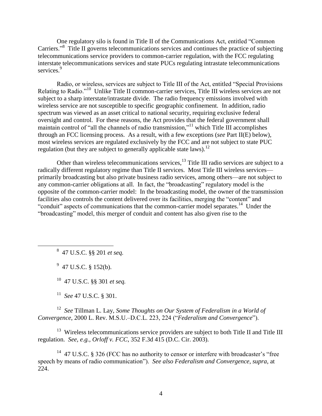One regulatory silo is found in Title II of the Communications Act, entitled "Common Carriers."<sup>8</sup> Title II governs telecommunications services and continues the practice of subjecting telecommunications service providers to common-carrier regulation, with the FCC regulating interstate telecommunications services and state PUCs regulating intrastate telecommunications services.<sup>9</sup>

Radio, or wireless, services are subject to Title III of the Act, entitled "Special Provisions" Relating to Radio."<sup>10</sup> Unlike Title II common-carrier services, Title III wireless services are not subject to a sharp interstate/intrastate divide. The radio frequency emissions involved with wireless service are not susceptible to specific geographic confinement. In addition, radio spectrum was viewed as an asset critical to national security, requiring exclusive federal oversight and control. For these reasons, the Act provides that the federal government shall maintain control of "all the channels of radio transmission,"<sup>11</sup> which Title III accomplishes through an FCC licensing process. As a result, with a few exceptions (*see* Part II(E) below), most wireless services are regulated exclusively by the FCC and are not subject to state PUC regulation (but they are subject to generally applicable state laws).<sup>12</sup>

Other than wireless telecommunications services, <sup>13</sup> Title III radio services are subject to a radically different regulatory regime than Title II services. Most Title III wireless services primarily broadcasting but also private business radio services, among others—are not subject to any common-carrier obligations at all. In fact, the "broadcasting" regulatory model is the opposite of the common-carrier model: In the broadcasting model, the owner of the transmission facilities also controls the content delivered over its facilities, merging the "content" and "conduit" aspects of communications that the common-carrier model separates.<sup>14</sup> Under the "broadcasting" model, this merger of conduit and content has also given rise to the

8 47 U.S.C. §§ 201 *et seq.*

 $9$  47 U.S.C. § 152(b).

 $\overline{a}$ 

<sup>10</sup> 47 U.S.C. §§ 301 *et seq.*

<sup>11</sup> *See* 47 U.S.C. § 301.

<sup>12</sup> *See* Tillman L. Lay, *Some Thoughts on Our System of Federalism in a World of Convergence*, 2000 L. Rev. M.S.U.–D.C.L. 223, 224 ("Federalism and Convergence").

 $13$  Wireless telecommunications service providers are subject to both Title II and Title III regulation. *See, e.g., Orloff v. FCC*, 352 F.3d 415 (D.C. Cir. 2003).

 $14$  47 U.S.C. § 326 (FCC has no authority to censor or interfere with broadcaster's "free speech by means of radio communication"). *See also Federalism and Convergence*, *supra*, at 224.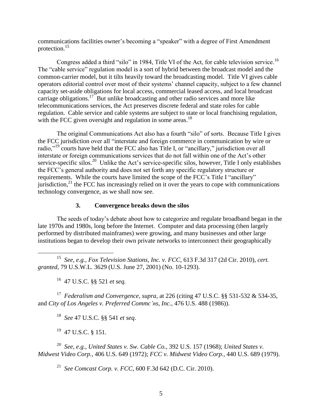communications facilities owner's becoming a "speaker" with a degree of First Amendment protection.<sup>15</sup>

Congress added a third "silo" in 1984, Title VI of the Act, for cable television service.<sup>16</sup> The "cable service" regulation model is a sort of hybrid between the broadcast model and the common-carrier model, but it tilts heavily toward the broadcasting model. Title VI gives cable operators editorial control over most of their systems' channel capacity, subject to a few channel capacity set-aside obligations for local access, commercial leased access, and local broadcast carriage obligations.<sup>17</sup> But unlike broadcasting and other radio services and more like telecommunications services, the Act preserves discrete federal and state roles for cable regulation. Cable service and cable systems are subject to state or local franchising regulation, with the FCC given oversight and regulation in some areas.<sup>18</sup>

The original Communications Act also has a fourth "silo" of sorts. Because Title I gives the FCC jurisdiction over all "interstate and foreign commerce in communication by wire or radio,"<sup>19</sup> courts have held that the FCC also has Title I, or "ancillary," jurisdiction over all interstate or foreign communications services that do not fall within one of the Act's other service-specific silos.<sup>20</sup> Unlike the Act's service-specific silos, however, Title I only establishes the FCC's general authority and does not set forth any specific regulatory structure or requirements. While the courts have limited the scope of the FCC's Title I "ancillary" jurisdiction, $^{21}$  the FCC has increasingly relied on it over the years to cope with communications technology convergence, as we shall now see.

## **3. Convergence breaks down the silos**

<span id="page-8-0"></span>The seeds of today's debate about how to categorize and regulate broadband began in the late 1970s and 1980s, long before the Internet. Computer and data processing (then largely performed by distributed mainframes) were growing, and many businesses and other large institutions began to develop their own private networks to interconnect their geographically

<sup>16</sup> 47 U.S.C. §§ 521 *et seq.*

 $\overline{a}$ 

<sup>17</sup> *Federalism and Convergence*, *supra*, at 226 (citing 47 U.S.C. §§ 531-532 & 534-35, and *City of Los Angeles v. Preferred Commc"ns, Inc.*, 476 U.S. 488 (1986)).

<sup>18</sup> *See* 47 U.S.C. §§ 541 *et seq*.

<sup>19</sup> 47 U.S.C. § 151.

<sup>20</sup> *See, e.g., United States v. Sw. Cable Co.,* 392 U.S. 157 (1968); *United States v. Midwest Video Corp.,* 406 U.S. 649 (1972); *FCC v. Midwest Video Corp.,* 440 U.S. 689 (1979).

<sup>21</sup> *See Comcast Corp. v. FCC*, 600 F.3d 642 (D.C. Cir. 2010).

<sup>15</sup> *See, e.g., Fox Television Stations, Inc. v. FCC*, 613 F.3d 317 (2d Cir. 2010), *cert. granted*, 79 U.S.W.L. 3629 (U.S. June 27, 2001) (No. 10-1293).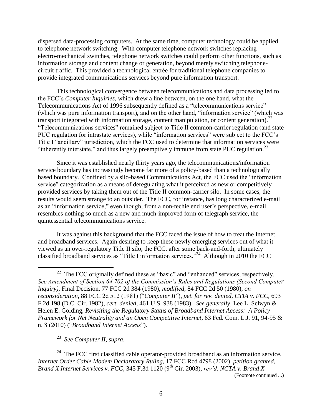dispersed data-processing computers. At the same time, computer technology could be applied to telephone network switching. With computer telephone network switches replacing electro-mechanical switches, telephone network switches could perform other functions, such as information storage and content change or generation, beyond merely switching telephonecircuit traffic. This provided a technological entrée for traditional telephone companies to provide integrated communications services beyond pure information transport.

This technological convergence between telecommunications and data processing led to the FCC's *Computer Inquiries*, which drew a line between, on the one hand, what the Telecommunications Act of 1996 subsequently defined as a "telecommunications service" (which was pure information transport), and on the other hand, "information service" (which was transport integrated with information storage, content manipulation, or content generation). $^{22}$ ―Telecommunications services‖ remained subject to Title II common-carrier regulation (and state PUC regulation for intrastate services), while "information services" were subject to the FCC's Title I "ancillary" jurisdiction, which the FCC used to determine that information services were "inherently interstate," and thus largely preemptively immune from state PUC regulation.<sup>23</sup>

Since it was established nearly thirty years ago, the telecommunications/information service boundary has increasingly become far more of a policy-based than a technologically based boundary. Confined by a silo-based Communications Act, the FCC used the "information" service" categorization as a means of deregulating what it perceived as new or competitively provided services by taking them out of the Title II common-carrier silo. In some cases, the results would seem strange to an outsider. The FCC, for instance, has long characterized e-mail as an "information service," even though, from a non-techie end user's perspective, e-mail resembles nothing so much as a new and much-improved form of telegraph service, the quintessential telecommunications service.

It was against this background that the FCC faced the issue of how to treat the Internet and broadband services. Again desiring to keep these newly emerging services out of what it viewed as an over-regulatory Title II silo, the FCC, after some back-and-forth, ultimately classified broadband services as "Title I information services."<sup>24</sup> Although in 2010 the FCC

<sup>23</sup> *See Computer II, supra*.

 $\overline{a}$ 

 $24$  The FCC first classified cable operator-provided broadband as an information service. *Internet Order Cable Modem Declaratory Ruling*, 17 FCC Rcd 4798 (2002), *petition granted, Brand X Internet Services v. FCC*, 345 F.3d 1120 (9th Cir. 2003), *rev"d*, *NCTA v. Brand X*  (Footnote continued ...)

<sup>&</sup>lt;sup>22</sup> The FCC originally defined these as "basic" and "enhanced" services, respectively. *See Amendment of Section 64.702 of the Commission"s Rules and Regulations (Second Computer Inquiry)*, Final Decision, 77 FCC 2d 384 (1980), *modified*, 84 FCC 2d 50 (1980), *on reconsideration*, 88 FCC 2d 512 (1981) ("Computer II"), pet. for rev. denied, CTIA v. FCC, 693 F.2d 198 (D.C. Cir. 1982), *cert. denied*, 461 U.S. 938 (1983). *See generally*, Lee L. Selwyn & Helen E. Golding, *Revisiting the Regulatory Status of Broadband Internet Access: A Policy Framework for Net Neutrality and an Open Competitive Internet*, 63 Fed. Com. L.J*.* 91, 94-95 & n. 8 (2010) ("Broadband Internet Access").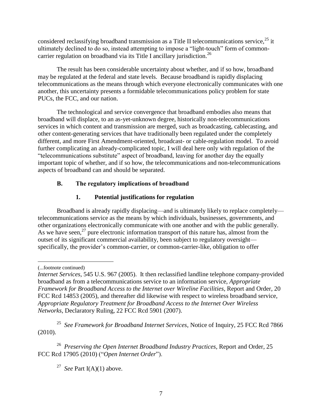considered reclassifying broadband transmission as a Title II telecommunications service,  $^{25}$  it ultimately declined to do so, instead attempting to impose a "light-touch" form of commoncarrier regulation on broadband via its Title I ancillary jurisdiction.<sup>26</sup>

The result has been considerable uncertainty about whether, and if so how, broadband may be regulated at the federal and state levels. Because broadband is rapidly displacing telecommunications as the means through which everyone electronically communicates with one another, this uncertainty presents a formidable telecommunications policy problem for state PUCs, the FCC, and our nation.

The technological and service convergence that broadband embodies also means that broadband will displace, to an as-yet-unknown degree, historically non-telecommunications services in which content and transmission are merged, such as broadcasting, cablecasting, and other content-generating services that have traditionally been regulated under the completely different, and more First Amendment-oriented, broadcast- or cable-regulation model. To avoid further complicating an already-complicated topic, I will deal here only with regulation of the "telecommunications substitute" aspect of broadband, leaving for another day the equally important topic of whether, and if so how, the telecommunications and non-telecommunications aspects of broadband can and should be separated.

# <span id="page-10-0"></span>**B. The regulatory implications of broadband**

# **1. Potential justifications for regulation**

<span id="page-10-1"></span>Broadband is already rapidly displacing—and is ultimately likely to replace completely telecommunications service as the means by which individuals, businesses, governments, and other organizations electronically communicate with one another and with the public generally. As we have seen,  $27$  pure electronic information transport of this nature has, almost from the outset of its significant commercial availability, been subject to regulatory oversight specifically, the provider's common-carrier, or common-carrier-like, obligation to offer

 $\overline{a}$ (...footnote continued)

<sup>25</sup> *See Framework for Broadband Internet Services*, Notice of Inquiry, 25 FCC Rcd 7866 (2010).

<sup>26</sup> *Preserving the Open Internet Broadband Industry Practices,* Report and Order, 25 FCC Rcd 17905 (2010) ("Open Internet Order").

<sup>27</sup> *See* Part I(A)(1) above.

*Internet Services*, 545 U.S. 967 (2005). It then reclassified landline telephone company-provided broadband as from a telecommunications service to an information service, *Appropriate Framework for Broadband Access to the Internet over Wireline Facilities*, Report and Order, 20 FCC Rcd 14853 (2005), and thereafter did likewise with respect to wireless broadband service, *Appropriate Regulatory Treatment for Broadband Access to the Internet Over Wireless Networks*, Declaratory Ruling, 22 FCC Rcd 5901 (2007).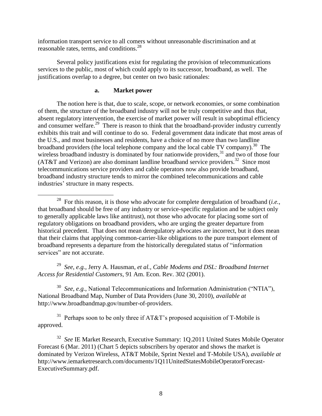information transport service to all comers without unreasonable discrimination and at reasonable rates, terms, and conditions.<sup>28</sup>

Several policy justifications exist for regulating the provision of telecommunications services to the public, most of which could apply to its successor, broadband, as well. The justifications overlap to a degree, but center on two basic rationales:

#### **a. Market power**

<span id="page-11-0"></span>The notion here is that, due to scale, scope, or network economies, or some combination of them, the structure of the broadband industry will not be truly competitive and thus that, absent regulatory intervention, the exercise of market power will result in suboptimal efficiency and consumer welfare.<sup>29</sup> There is reason to think that the broadband-provider industry currently exhibits this trait and will continue to do so. Federal government data indicate that most areas of the U.S., and most businesses and residents, have a choice of no more than two landline broadband providers (the local telephone company and the local cable TV company).<sup>30</sup> The wireless broadband industry is dominated by four nationwide providers,<sup>31</sup> and two of those four  $(AT&T$  and Verizon) are also dominant landline broadband service providers.<sup>32</sup> Since most telecommunications service providers and cable operators now also provide broadband, broadband industry structure tends to mirror the combined telecommunications and cable industries' structure in many respects.

<sup>29</sup> *See*, *e.g.*, Jerry A. Hausman, *et al., Cable Modems and DSL: Broadband Internet Access for Residential Customers*, 91 Am. Econ. Rev. 302 (2001).

<sup>30</sup> *See, e.g.*, National Telecommunications and Information Administration ("NTIA"), National Broadband Map, Number of Data Providers (June 30, 2010), *available at* http://www.broadbandmap.gov/number-of-providers.

 $31$  Perhaps soon to be only three if AT&T's proposed acquisition of T-Mobile is approved.

<sup>32</sup> *See* IE Market Research, Executive Summary: 1Q.2011 United States Mobile Operator Forecast 6 (Mar. 2011) (Chart 5 depicts subscribers by operator and shows the market is dominated by Verizon Wireless, AT&T Mobile, Sprint Nextel and T-Mobile USA), *available at* http://www.iemarketresearch.com/documents/1Q11UnitedStatesMobileOperatorForecast-ExecutiveSummary.pdf.

 $\overline{a}$ <sup>28</sup> For this reason, it is those who advocate for complete deregulation of broadband (*i.e.*, that broadband should be free of any industry or service-specific regulation and be subject only to generally applicable laws like antitrust), not those who advocate for placing some sort of regulatory obligations on broadband providers, who are urging the greater departure from historical precedent. That does not mean deregulatory advocates are incorrect, but it does mean that their claims that applying common-carrier-like obligations to the pure transport element of broadband represents a departure from the historically deregulated status of "information" services" are not accurate.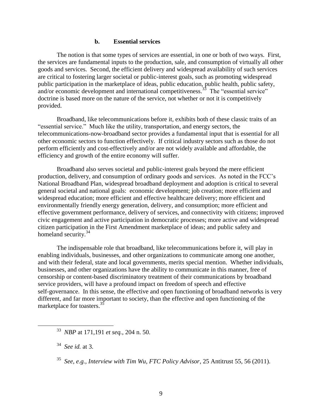#### **b. Essential services**

<span id="page-12-0"></span>The notion is that some types of services are essential, in one or both of two ways. First, the services are fundamental inputs to the production, sale, and consumption of virtually all other goods and services. Second, the efficient delivery and widespread availability of such services are critical to fostering larger societal or public-interest goals, such as promoting widespread public participation in the marketplace of ideas, public education, public health, public safety, and/or economic development and international competitiveness.<sup>33</sup> The "essential service" doctrine is based more on the nature of the service, not whether or not it is competitively provided.

Broadband, like telecommunications before it, exhibits both of these classic traits of an "essential service." Much like the utility, transportation, and energy sectors, the telecommunications-now-broadband sector provides a fundamental input that is essential for all other economic sectors to function effectively. If critical industry sectors such as those do not perform efficiently and cost-effectively and/or are not widely available and affordable, the efficiency and growth of the entire economy will suffer.

Broadband also serves societal and public-interest goals beyond the mere efficient production, delivery, and consumption of ordinary goods and services. As noted in the FCC's National Broadband Plan, widespread broadband deployment and adoption is critical to several general societal and national goals: economic development; job creation; more efficient and widespread education; more efficient and effective healthcare delivery; more efficient and environmentally friendly energy generation, delivery, and consumption; more efficient and effective government performance, delivery of services, and connectivity with citizens; improved civic engagement and active participation in democratic processes; more active and widespread citizen participation in the First Amendment marketplace of ideas; and public safety and homeland security.<sup>34</sup>

The indispensable role that broadband, like telecommunications before it, will play in enabling individuals, businesses, and other organizations to communicate among one another, and with their federal, state and local governments, merits special mention. Whether individuals, businesses, and other organizations have the ability to communicate in this manner, free of censorship or content-based discriminatory treatment of their communications by broadband service providers, will have a profound impact on freedom of speech and effective self-governance. In this sense, the effective and open functioning of broadband networks is very different, and far more important to society, than the effective and open functioning of the marketplace for toasters.<sup>35</sup>

 $\overline{a}$ 

<sup>33</sup> *NBP* at 171,191 *et seq.*, 204 n. 50.

<sup>34</sup> *See id.* at 3.

<sup>35</sup> *See, e.g., Interview with Tim Wu, FTC Policy Advisor*, 25 Antitrust 55, 56 (2011).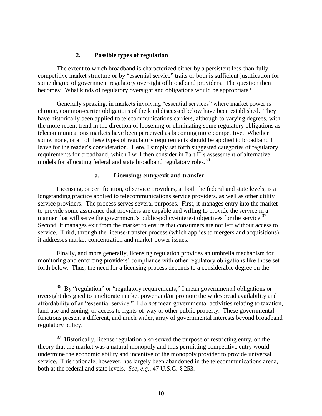#### **2. Possible types of regulation**

<span id="page-13-0"></span>The extent to which broadband is characterized either by a persistent less-than-fully competitive market structure or by "essential service" traits or both is sufficient justification for some degree of government regulatory oversight of broadband providers. The question then becomes: What kinds of regulatory oversight and obligations would be appropriate?

Generally speaking, in markets involving "essential services" where market power is chronic, common-carrier obligations of the kind discussed below have been established. They have historically been applied to telecommunications carriers, although to varying degrees, with the more recent trend in the direction of loosening or eliminating some regulatory obligations as telecommunications markets have been perceived as becoming more competitive. Whether some, none, or all of these types of regulatory requirements should be applied to broadband I leave for the reader's consideration. Here, I simply set forth suggested categories of regulatory requirements for broadband, which I will then consider in Part II's assessment of alternative models for allocating federal and state broadband regulatory roles.<sup>36</sup>

#### **a. Licensing: entry/exit and transfer**

<span id="page-13-1"></span>Licensing, or certification, of service providers, at both the federal and state levels, is a longstanding practice applied to telecommunications service providers, as well as other utility service providers. The process serves several purposes. First, it manages entry into the market to provide some assurance that providers are capable and willing to provide the service in a manner that will serve the government's public-policy-interest objectives for the service.<sup>37</sup> Second, it manages exit from the market to ensure that consumers are not left without access to service. Third, through the license-transfer process (which applies to mergers and acquisitions), it addresses market-concentration and market-power issues.

Finally, and more generally, licensing regulation provides an umbrella mechanism for monitoring and enforcing providers' compliance with other regulatory obligations like those set forth below. Thus, the need for a licensing process depends to a considerable degree on the

 $\overline{a}$ 

 $36$  By "regulation" or "regulatory requirements," I mean governmental obligations or oversight designed to ameliorate market power and/or promote the widespread availability and affordability of an "essential service." I do *not* mean governmental activities relating to taxation, land use and zoning, or access to rights-of-way or other public property. These governmental functions present a different, and much wider, array of governmental interests beyond broadband regulatory policy.

 $37$  Historically, license regulation also served the purpose of restricting entry, on the theory that the market was a natural monopoly and thus permitting competitive entry would undermine the economic ability and incentive of the monopoly provider to provide universal service. This rationale, however, has largely been abandoned in the telecommunications arena, both at the federal and state levels. *See*, *e.g.*, 47 U.S.C. § 253.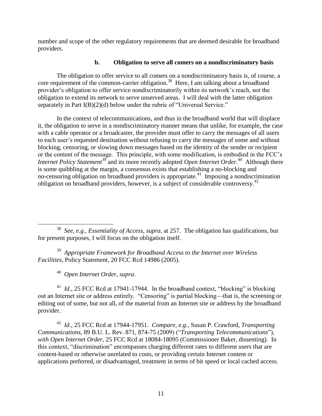number and scope of the other regulatory requirements that are deemed desirable for broadband providers.

## **b. Obligation to serve all comers on a nondiscriminatory basis**

<span id="page-14-0"></span>The obligation to offer service to all comers on a nondiscriminatory basis is, of course, a core requirement of the common-carrier obligation.<sup>38</sup> Here, I am talking about a broadband provider's obligation to offer service nondiscriminatorily within its network's reach, not the obligation to extend its network to serve unserved areas. I will deal with the latter obligation separately in Part  $I(B)(2)(d)$  below under the rubric of "Universal Service."

In the context of telecommunications, and thus in the broadband world that will displace it, the obligation to serve in a nondiscriminatory manner means that unlike, for example, the case with a cable operator or a broadcaster, the provider must offer to carry the messages of all users to each user's requested destination without refusing to carry the messages of some and without blocking, censoring, or slowing down messages based on the identity of the sender or recipient or the content of the message. This principle, with some modification, is embodied in the FCC's *Internet Policy Statement*<sup>39</sup> and its more recently adopted *Open Internet Order*.<sup>40</sup> Although there is some quibbling at the margin, a consensus exists that establishing a no-blocking and no-censoring obligation on broadband providers is appropriate.<sup>41</sup> Imposing a nondiscrimination obligation on broadband providers, however, is a subject of considerable controversy.<sup>42</sup>

<sup>39</sup> *Appropriate Framework for Broadband Access to the Internet over Wireless Facilities*, Policy Statement, 20 FCC Rcd 14986 (2005).

<sup>40</sup> *Open Internet Order*, *supra*.

 $^{41}$  *Id.*, 25 FCC Rcd at 17941-17944. In the broadband context, "blocking" is blocking out an Internet site or address entirely. "Censoring" is partial blocking—that is, the screening or editing out of some, but not all, of the material from an Internet site or address by the broadband provider.

<sup>42</sup> *Id*., 25 FCC Rcd at 17944-17951. *Compare*, *e.g.*, Susan P. Crawford, *Transporting Communications*, 89 B.U. L. Rev. 871, 874-75 (2009) ("*Transporting Telecommunications*"), *with Open Internet Order*, 25 FCC Rcd at 18084-18095 (Commissioner Baker, dissenting). In this context, "discrimination" encompasses charging different rates to different users that are content-based or otherwise unrelated to costs, or providing certain Internet content or applications preferred, or disadvantaged, treatment in terms of bit speed or local cached access.

 $\overline{a}$ <sup>38</sup> *See, e.g., Essentiality of Access, supra,* at 257. The obligation has qualifications, but for present purposes, I will focus on the obligation itself.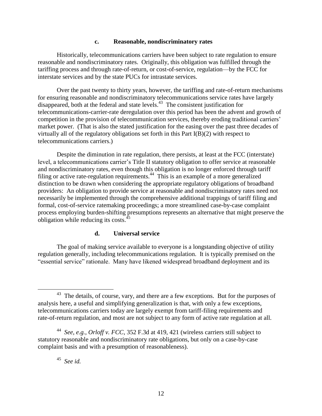#### <span id="page-15-0"></span>**c. Reasonable, nondiscriminatory rates**

Historically, telecommunications carriers have been subject to rate regulation to ensure reasonable and nondiscriminatory rates. Originally, this obligation was fulfilled through the tariffing process and through rate-of-return, or cost-of-service, regulation—by the FCC for interstate services and by the state PUCs for intrastate services.

Over the past twenty to thirty years, however, the tariffing and rate-of-return mechanisms for ensuring reasonable and nondiscriminatory telecommunications service rates have largely disappeared, both at the federal and state levels. 43 The consistent justification for telecommunications-carrier-rate deregulation over this period has been the advent and growth of competition in the provision of telecommunication services, thereby eroding traditional carriers' market power. (That is also the stated justification for the easing over the past three decades of virtually all of the regulatory obligations set forth in this Part I(B)(2) with respect to telecommunications carriers.)

Despite the diminution in rate regulation, there persists, at least at the FCC (interstate) level, a telecommunications carrier's Title II statutory obligation to offer service at reasonable and nondiscriminatory rates, even though this obligation is no longer enforced through tariff filing or active rate-regulation requirements.<sup>44</sup> This is an example of a more generalized distinction to be drawn when considering the appropriate regulatory obligations of broadband providers: An obligation to provide service at reasonable and nondiscriminatory rates need not necessarily be implemented through the comprehensive additional trappings of tariff filing and formal, cost-of-service ratemaking proceedings; a more streamlined case-by-case complaint process employing burden-shifting presumptions represents an alternative that might preserve the obligation while reducing its costs. $45$ 

#### **d. Universal service**

<span id="page-15-1"></span>The goal of making service available to everyone is a longstanding objective of utility regulation generally, including telecommunications regulation. It is typically premised on the "essential service" rationale. Many have likened widespread broadband deployment and its

 $\overline{a}$ 

<sup>&</sup>lt;sup>43</sup> The details, of course, vary, and there are a few exceptions. But for the purposes of analysis here, a useful and simplifying generalization is that, with only a few exceptions, telecommunications carriers today are largely exempt from tariff-filing requirements and rate-of-return regulation, and most are not subject to any form of active rate regulation at all.

<sup>44</sup> *See*, *e.g.*, *Orloff v. FCC*, 352 F.3d at 419, 421 (wireless carriers still subject to statutory reasonable and nondiscriminatory rate obligations, but only on a case-by-case complaint basis and with a presumption of reasonableness).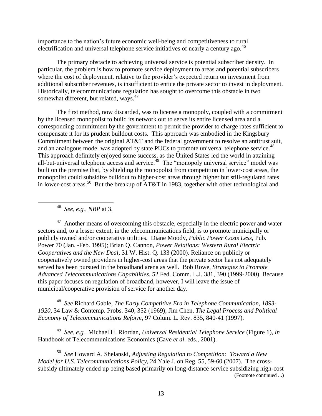importance to the nation's future economic well-being and competitiveness to rural electrification and universal telephone service initiatives of nearly a century ago.<sup>46</sup>

The primary obstacle to achieving universal service is potential subscriber density. In particular, the problem is how to promote service deployment to areas and potential subscribers where the cost of deployment, relative to the provider's expected return on investment from additional subscriber revenues, is insufficient to entice the private sector to invest in deployment. Historically, telecommunications regulation has sought to overcome this obstacle in two somewhat different, but related, ways.<sup>47</sup>

The first method, now discarded, was to license a monopoly, coupled with a commitment by the licensed monopolist to build its network out to serve its entire licensed area and a corresponding commitment by the government to permit the provider to charge rates sufficient to compensate it for its prudent buildout costs. This approach was embodied in the Kingsbury Commitment between the original AT&T and the federal government to resolve an antitrust suit, and an analogous model was adopted by state PUCs to promote universal telephone service.<sup>48</sup> This approach definitely enjoyed some success, as the United States led the world in attaining all-but-universal telephone access and service.<sup>49</sup> The "monopoly universal service" model was built on the premise that, by shielding the monopolist from competition in lower-cost areas, the monopolist could subsidize buildout to higher-cost areas through higher but still-regulated rates in lower-cost areas.<sup>50</sup> But the breakup of AT&T in 1983, together with other technological and

<sup>46</sup> *See, e.g., NBP* at 3.

 $\overline{a}$ 

 $47$  Another means of overcoming this obstacle, especially in the electric power and water sectors and, to a lesser extent, in the telecommunications field, is to promote municipally or publicly owned and/or cooperative utilities. Diane Moody, *Public Power Costs Less*, Pub. Power 70 (Jan. -Feb. 1995); Brian Q. Cannon, *Power Relations: Western Rural Electric Cooperatives and the New Deal,* 31 W. Hist. Q. 133 (2000). Reliance on publicly or cooperatively owned providers in higher-cost areas that the private sector has not adequately served has been pursued in the broadband arena as well. Bob Rowe, *Strategies to Promote Advanced Telecommunications Capabilities*, 52 Fed. Comm. L.J*.* 381, 390 (1999-2000). Because this paper focuses on regulation of broadband, however, I will leave the issue of municipal/cooperative provision of service for another day.

<sup>48</sup> *See* Richard Gable, *The Early Competitive Era in Telephone Communication, 1893- 1920*, 34 Law & Contemp. Probs. 340, 352 (1969); Jim Chen, *The Legal Process and Political Economy of Telecommunications Reform,* 97 Colum. L. Rev. 835, 840-41 (1997).

<sup>49</sup> *See, e.g.,* Michael H. Riordan, *Universal Residential Telephone Service* (Figure 1), *in* Handbook of Telecommunications Economics (Cave *et al*. eds., 2001).

<sup>50</sup> *See* Howard A. Shelanski, *Adjusting Regulation to Competition: Toward a New Model for U.S. Telecommunications Policy*, 24 Yale J. on Reg. 55, 59-60 (2007). The crosssubsidy ultimately ended up being based primarily on long-distance service subsidizing high-cost (Footnote continued ...)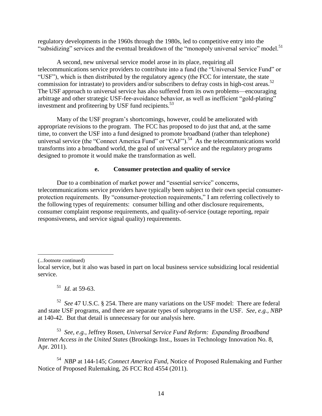regulatory developments in the 1960s through the 1980s, led to competitive entry into the "subsidizing" services and the eventual breakdown of the "monopoly universal service" model.<sup>51</sup>

A second, new universal service model arose in its place, requiring all telecommunications service providers to contribute into a fund (the "Universal Service Fund" or "USF"), which is then distributed by the regulatory agency (the FCC for interstate, the state commission for intrastate) to providers and/or subscribers to defray costs in high-cost areas.<sup>52</sup> The USF approach to universal service has also suffered from its own problems—encouraging arbitrage and other strategic USF-fee-avoidance behavior, as well as inefficient "gold-plating" investment and profiteering by USF fund recipients.<sup>53</sup>

Many of the USF program's shortcomings, however, could be ameliorated with appropriate revisions to the program. The FCC has proposed to do just that and, at the same time, to convert the USF into a fund designed to promote broadband (rather than telephone) universal service (the "Connect America Fund" or "CAF").<sup>54</sup> As the telecommunications world transforms into a broadband world, the goal of universal service and the regulatory programs designed to promote it would make the transformation as well.

#### **e. Consumer protection and quality of service**

<span id="page-17-0"></span>Due to a combination of market power and "essential service" concerns, telecommunications service providers have typically been subject to their own special consumerprotection requirements. By "consumer-protection requirements," I am referring collectively to the following types of requirements: consumer billing and other disclosure requirements, consumer complaint response requirements, and quality-of-service (outage reporting, repair responsiveness, and service signal quality) requirements.

 $\overline{a}$ (...footnote continued)

 $^{51}$  *Id.* at 59-63.

<sup>52</sup> *See* 47 U.S.C. § 254. There are many variations on the USF model: There are federal and state USF programs, and there are separate types of subprograms in the USF. *See, e.g., NBP* at 140-42. But that detail is unnecessary for our analysis here.

<sup>53</sup> *See*, *e.g.*, Jeffrey Rosen, *Universal Service Fund Reform: Expanding Broadband Internet Access in the United States* (Brookings Inst., Issues in Technology Innovation No. 8, Apr. 2011).

<sup>54</sup> *NBP* at 144-145; *Connect America Fund*, Notice of Proposed Rulemaking and Further Notice of Proposed Rulemaking, 26 FCC Rcd 4554 (2011).

local service, but it also was based in part on local business service subsidizing local residential service.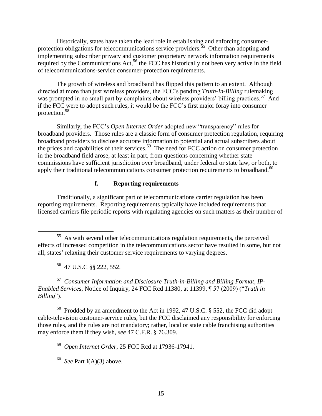Historically, states have taken the lead role in establishing and enforcing consumerprotection obligations for telecommunications service providers.<sup>35</sup> Other than adopting and implementing subscriber privacy and customer proprietary network information requirements required by the Communications Act,<sup>56</sup> the FCC has historically not been very active in the field of telecommunications-service consumer-protection requirements.

The growth of wireless and broadband has flipped this pattern to an extent. Although directed at more than just wireless providers, the FCC's pending *Truth-In-Billing* rulemaking was prompted in no small part by complaints about wireless providers' billing practices.<sup>57</sup> And if the FCC were to adopt such rules, it would be the FCC's first major foray into consumer protection.<sup>58</sup>

Similarly, the FCC's *Open Internet Order* adopted new "transparency" rules for broadband providers. Those rules are a classic form of consumer protection regulation, requiring broadband providers to disclose accurate information to potential and actual subscribers about the prices and capabilities of their services. 59 The need for FCC action on consumer protection in the broadband field arose, at least in part, from questions concerning whether state commissions have sufficient jurisdiction over broadband, under federal or state law, or both, to apply their traditional telecommunications consumer protection requirements to broadband.<sup>60</sup>

#### **f. Reporting requirements**

<span id="page-18-0"></span>Traditionally, a significant part of telecommunications carrier regulation has been reporting requirements. Reporting requirements typically have included requirements that licensed carriers file periodic reports with regulating agencies on such matters as their number of

 $\overline{a}$ 

<sup>57</sup> *Consumer Information and Disclosure Truth-in-Billing and Billing Format, IP-Enabled Services*, Notice of Inquiry, 24 FCC Rcd 11380, at 11399, ¶ 57 (2009) ("*Truth in Billing*").

<sup>58</sup> Prodded by an amendment to the Act in 1992, 47 U.S.C. § 552, the FCC did adopt cable-television customer-service rules, but the FCC disclaimed any responsibility for enforcing those rules, and the rules are not mandatory; rather, local or state cable franchising authorities may enforce them if they wish, *see* 47 C.F.R. § 76.309.

<sup>59</sup> *Open Internet Order*, 25 FCC Rcd at 17936-17941.

 $60$  *See* Part I(A)(3) above.

 $55$  As with several other telecommunications regulation requirements, the perceived effects of increased competition in the telecommunications sector have resulted in some, but not all, states' relaxing their customer service requirements to varying degrees.

<sup>56</sup> 47 U.S.C §§ 222, 552.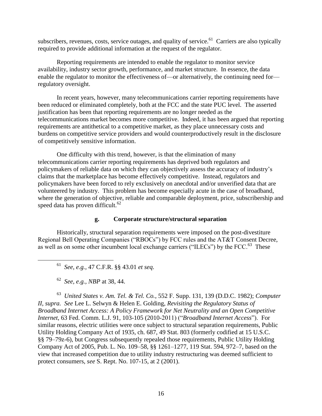subscribers, revenues, costs, service outages, and quality of service.<sup>61</sup> Carriers are also typically required to provide additional information at the request of the regulator.

Reporting requirements are intended to enable the regulator to monitor service availability, industry sector growth, performance, and market structure. In essence, the data enable the regulator to monitor the effectiveness of—or alternatively, the continuing need for regulatory oversight.

In recent years, however, many telecommunications carrier reporting requirements have been reduced or eliminated completely, both at the FCC and the state PUC level. The asserted justification has been that reporting requirements are no longer needed as the telecommunications market becomes more competitive. Indeed, it has been argued that reporting requirements are antithetical to a competitive market, as they place unnecessary costs and burdens on competitive service providers and would counterproductively result in the disclosure of competitively sensitive information.

One difficulty with this trend, however, is that the elimination of many telecommunications carrier reporting requirements has deprived both regulators and policymakers of reliable data on which they can objectively assess the accuracy of industry's claims that the marketplace has become effectively competitive. Instead, regulators and policymakers have been forced to rely exclusively on anecdotal and/or unverified data that are volunteered by industry. This problem has become especially acute in the case of broadband, where the generation of objective, reliable and comparable deployment, price, subscribership and speed data has proven difficult.<sup>62</sup>

# **g. Corporate structure/structural separation**

<span id="page-19-0"></span>Historically, structural separation requirements were imposed on the post-divestiture Regional Bell Operating Companies ("RBOCs") by FCC rules and the AT&T Consent Decree, as well as on some other incumbent local exchange carriers ("ILECs") by the FCC.<sup>63</sup> These

<sup>61</sup> *See, e.g.,* 47 C.F.R. §§ 43.01 *et seq*.

 $\overline{a}$ 

<sup>63</sup> *United States v. Am. Tel. & Tel. Co.*, 552 F. Supp. 131, 139 (D.D.C. 1982); *Computer II, supra. See* Lee L. Selwyn & Helen E. Golding, *Revisiting the Regulatory Status of Broadband Internet Access: A Policy Framework for Net Neutrality and an Open Competitive Internet*, 63 Fed. Comm. L.J. 91, 103-105 (2010-2011) ("*Broadband Internet Access*"). For similar reasons, electric utilities were once subject to structural separation requirements, Public Utility Holding Company Act of 1935, ch. 687, 49 Stat. 803 (formerly codified at 15 U.S.C. §§ 79–79z-6), but Congress subsequently repealed those requirements, Public Utility Holding Company Act of 2005, Pub. L. No. 109–58, §§ 1261–1277, 119 Stat. 594, 972–7, based on the view that increased competition due to utility industry restructuring was deemed sufficient to protect consumers, *see* S. Rept. No. 107-15, at 2 (2001).

<sup>62</sup> *See, e.g., NBP* at 38, 44.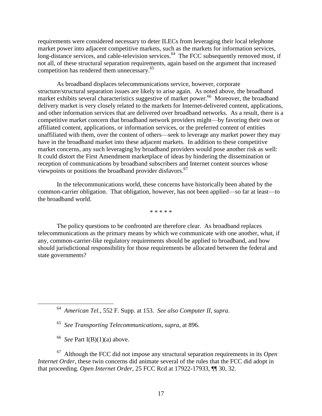requirements were considered necessary to deter ILECs from leveraging their local telephone market power into adjacent competitive markets, such as the markets for information services, long-distance services, and cable-television services.<sup>64</sup> The FCC subsequently removed most, if not all, of these structural separation requirements, again based on the argument that increased competition has rendered them unnecessary.<sup>65</sup>

As broadband displaces telecommunications service, however, corporate structure/structural separation issues are likely to arise again. As noted above, the broadband market exhibits several characteristics suggestive of market power.<sup>66</sup> Moreover, the broadband delivery market is very closely related to the markets for Internet-delivered content, applications, and other information services that are delivered over broadband networks. As a result, there is a competitive market concern that broadband network providers might—by favoring their own or affiliated content, applications, or information services, or the preferred content of entities unaffiliated with them, over the content of others—seek to leverage any market power they may have in the broadband market into these adjacent markets. In addition to these competitive market concerns, any such leveraging by broadband providers would pose another risk as well: It could distort the First Amendment marketplace of ideas by hindering the dissemination or reception of communications by broadband subscribers and Internet content sources whose viewpoints or positions the broadband provider disfavors.<sup>67</sup>

In the telecommunications world, these concerns have historically been abated by the common-carrier obligation. That obligation, however, has not been applied—so far at least—to the broadband world.

\* \* \* \* \*

The policy questions to be confronted are therefore clear. As broadband replaces telecommunications as the primary means by which we communicate with one another, what, if any, common-carrier-like regulatory requirements should be applied to broadband, and how should jurisdictional responsibility for those requirements be allocated between the federal and state governments?

66 *See* Part I(B)(1)(a) above.

 $\overline{a}$ 

<sup>67</sup> Although the FCC did not impose any structural separation requirements in its *Open Internet Order*, these twin concerns did animate several of the rules that the FCC did adopt in that proceeding. *Open Internet Order*, 25 FCC Rcd at 17922-17933, ¶¶ 30, 32.

<sup>64</sup> *American Tel.*, 552 F. Supp. at 153. *See also Computer II, supra.*

<sup>65</sup> *See Transporting Telecommunications*, *supra*, at 896.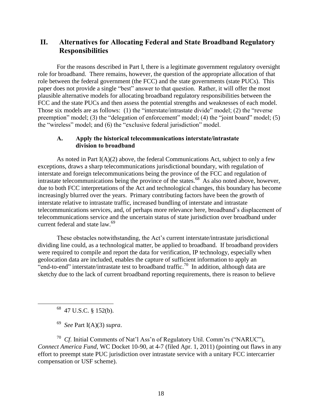# <span id="page-21-0"></span>**II. Alternatives for Allocating Federal and State Broadband Regulatory Responsibilities**

For the reasons described in Part I, there is a legitimate government regulatory oversight role for broadband. There remains, however, the question of the appropriate allocation of that role between the federal government (the FCC) and the state governments (state PUCs). This paper does not provide a single "best" answer to that question. Rather, it will offer the most plausible alternative models for allocating broadband regulatory responsibilities between the FCC and the state PUCs and then assess the potential strengths and weaknesses of each model. Those six models are as follows: (1) the "interstate/intrastate divide" model; (2) the "reverse preemption" model; (3) the "delegation of enforcement" model; (4) the "joint board" model; (5) the "wireless" model; and (6) the "exclusive federal jurisdiction" model.

#### <span id="page-21-1"></span>**A. Apply the historical telecommunications interstate/intrastate division to broadband**

As noted in Part  $I(A)(2)$  above, the federal Communications Act, subject to only a few exceptions, draws a sharp telecommunications jurisdictional boundary, with regulation of interstate and foreign telecommunications being the province of the FCC and regulation of intrastate telecommunications being the province of the states.<sup>68</sup> As also noted above, however, due to both FCC interpretations of the Act and technological changes, this boundary has become increasingly blurred over the years. Primary contributing factors have been the growth of interstate relative to intrastate traffic, increased bundling of interstate and intrastate telecommunications services, and, of perhaps more relevance here, broadband's displacement of telecommunications service and the uncertain status of state jurisdiction over broadband under current federal and state law.<sup>69</sup>

These obstacles notwithstanding, the Act's current interstate/intrastate jurisdictional dividing line could, as a technological matter, be applied to broadband. If broadband providers were required to compile and report the data for verification, IP technology, especially when geolocation data are included, enables the capture of sufficient information to apply an  $\epsilon$  end-to-end" interstate/intrastate test to broadband traffic.<sup>70</sup> In addition, although data are sketchy due to the lack of current broadband reporting requirements, there is reason to believe

 $68$  47 U.S.C. § 152(b).

 $\overline{a}$ 

<sup>69</sup> *See* Part I(A)(3) *supra*.

<sup>70</sup> *Cf.* Initial Comments of Nat'l Ass'n of Regulatory Util. Comm'rs ("NARUC"), *Connect America Fund*, WC Docket 10-90, at 4-7 (filed Apr. 1, 2011) (pointing out flaws in any effort to preempt state PUC jurisdiction over intrastate service with a unitary FCC intercarrier compensation or USF scheme).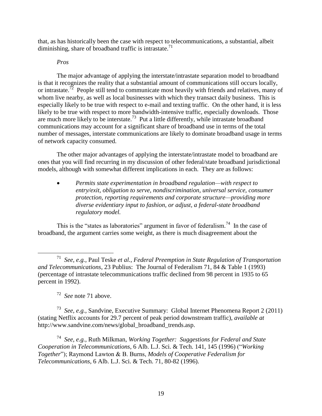that, as has historically been the case with respect to telecommunications, a substantial, albeit diminishing, share of broadband traffic is intrastate.<sup>71</sup>

#### *Pros*

The major advantage of applying the interstate/intrastate separation model to broadband is that it recognizes the reality that a substantial amount of communications still occurs locally, or intrastate.<sup>72</sup> People still tend to communicate most heavily with friends and relatives, many of whom live nearby, as well as local businesses with which they transact daily business. This is especially likely to be true with respect to e-mail and texting traffic. On the other hand, it is less likely to be true with respect to more bandwidth-intensive traffic, especially downloads. Those are much more likely to be interstate.<sup>73</sup> Put a little differently, while intrastate broadband communications may account for a significant share of broadband use in terms of the total number of messages, interstate communications are likely to dominate broadband usage in terms of network capacity consumed.

The other major advantages of applying the interstate/intrastate model to broadband are ones that you will find recurring in my discussion of other federal/state broadband jurisdictional models, although with somewhat different implications in each. They are as follows:

 *Permits state experimentation in broadband regulation—with respect to entry/exit, obligation to serve, nondiscrimination, universal service, consumer protection, reporting requirements and corporate structure—providing more diverse evidentiary input to fashion, or adjust, a federal-state broadband regulatory model.*

This is the "states as laboratories" argument in favor of federalism.<sup>74</sup> In the case of broadband, the argument carries some weight, as there is much disagreement about the

<sup>72</sup> *See* note 71 above.

 $\overline{a}$ 

<sup>73</sup> *See, e.g.,* Sandvine, Executive Summary: Global Internet Phenomena Report 2 (2011) (stating Netflix accounts for 29.7 percent of peak period downstream traffic), *available at* [http://www.sandvine.com/news/global\\_broadband\\_trends.asp.](http://www.sandvine.com/news/global_broadband_trends.asp)

<sup>74</sup> *See, e.g.,* Ruth Milkman, *Working Together: Suggestions for Federal and State Cooperation in Telecommunications, 6 Alb. L.J. Sci. & Tech. 141, 145 (1996) ("Working Together*"); Raymond Lawton & B. Burns, *Models of Cooperative Federalism for Telecommunications*, 6 Alb. L.J. Sci. & Tech. 71, 80-82 (1996).

<sup>71</sup> *See, e.g.,* Paul Teske *et al.*, *Federal Preemption in State Regulation of Transportation and Telecommunications*, 23 Publius: The Journal of Federalism 71, 84 & Table 1 (1993) (percentage of intrastate telecommunications traffic declined from 98 percent in 1935 to 65 percent in 1992).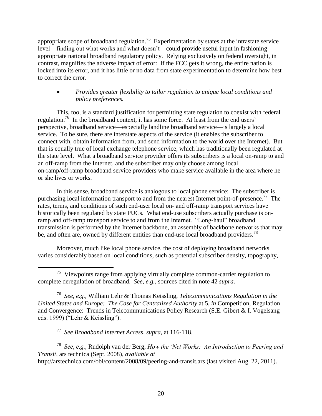appropriate scope of broadband regulation.<sup>75</sup> Experimentation by states at the intrastate service level—finding out what works and what doesn't—could provide useful input in fashioning appropriate national broadband regulatory policy. Relying exclusively on federal oversight, in contrast, magnifies the adverse impact of error: If the FCC gets it wrong, the entire nation is locked into its error, and it has little or no data from state experimentation to determine how best to correct the error.

# *Provides greater flexibility to tailor regulation to unique local conditions and policy preferences.*

This, too, is a standard justification for permitting state regulation to coexist with federal regulation.<sup>76</sup> In the broadband context, it has some force. At least from the end users' perspective, broadband service—especially landline broadband service—is largely a local service. To be sure, there are interstate aspects of the service (it enables the subscriber to connect with, obtain information from, and send information to the world over the Internet). But that is equally true of local exchange telephone service, which has traditionally been regulated at the state level. What a broadband service provider offers its subscribers is a local on-ramp to and an off-ramp from the Internet, and the subscriber may only choose among local on-ramp/off-ramp broadband service providers who make service available in the area where he or she lives or works.

In this sense, broadband service is analogous to local phone service: The subscriber is purchasing local information transport to and from the nearest Internet point-of-presence.<sup>77</sup> The rates, terms, and conditions of such end-user local on- and off-ramp transport services have historically been regulated by state PUCs. What end-use subscribers actually purchase is onramp and off-ramp transport service to and from the Internet. "Long-haul" broadband transmission is performed by the Internet backbone, an assembly of backbone networks that may be, and often are, owned by different entities than end-use local broadband providers.<sup>78</sup>

Moreover, much like local phone service, the cost of deploying broadband networks varies considerably based on local conditions, such as potential subscriber density, topography,

<sup>77</sup> *See Broadband Internet Access*, *supra*, at 116-118.

 $\overline{a}$ 

<sup>78</sup> *See, e.g.*, Rudolph van der Berg, *How the "Net Works: An Introduction to Peering and Transit*, ars technica (Sept. 2008), *available at* http://arstechnica.com/obl/content/2008/09/peering-and-transit.ars (last visited Aug. 22, 2011).

 $75$  Viewpoints range from applying virtually complete common-carrier regulation to complete deregulation of broadband. *See, e.g.,* sources cited in note 42 *supra*.

<sup>76</sup> *See, e.g.,* William Lehr & Thomas Keissling, *Telecommunications Regulation in the United States and Europe: The Case for Centralized Authority* at 5, *in* Competition, Regulation and Convergence: Trends in Telecommunications Policy Research (S.E. Gibert & I. Vogelsang eds. 1999) ("Lehr & Keissling").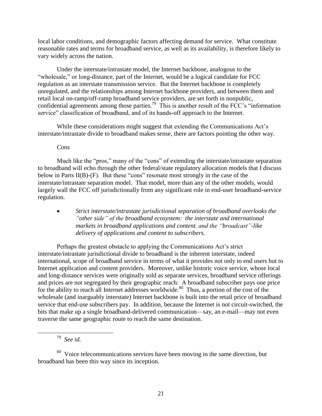local labor conditions, and demographic factors affecting demand for service. What constitute reasonable rates and terms for broadband service, as well as its availability, is therefore likely to vary widely across the nation.

Under the interstate/intrastate model, the Internet backbone, analogous to the "wholesale," or long-distance, part of the Internet, would be a logical candidate for FCC regulation as an interstate transmission service. But the Internet backbone is completely unregulated, and the relationships among Internet backbone providers, and between them and retail local on-ramp/off-ramp broadband service providers, are set forth in nonpublic, confidential agreements among those parties.<sup>79</sup> This is another result of the FCC's "information" service" classification of broadband, and of its hands-off approach to the Internet.

While these considerations might suggest that extending the Communications Act's interstate/intrastate divide to broadband makes sense, there are factors pointing the other way.

*Cons*

Much like the "pros," many of the "cons" of extending the interstate/intrastate separation to broadband will echo through the other federal/state regulatory allocation models that I discuss below in Parts  $II(B)-(F)$ . But these "cons" resonate most strongly in the case of the interstate/intrastate separation model. That model, more than any of the other models, would largely wall the FCC off jurisdictionally from any significant role in end-user broadband-service regulation.

 *Strict interstate/intrastate jurisdictional separation of broadband overlooks the "other side" of the broadband ecosystem: the interstate and international markets in broadband applications and content, and the "broadcast"-like delivery of applications and content to subscribers.*

Perhaps the greatest obstacle to applying the Communications Act's strict interstate/intrastate jurisdictional divide to broadband is the inherent interstate, indeed international, scope of broadband service in terms of what it provides not only to end users but to Internet application and content providers. Moreover, unlike historic voice service, whose local and long-distance services were originally sold as separate services, broadband service offerings and prices are not segregated by their geographic reach: A broadband subscriber pays one price for the ability to reach all Internet addresses worldwide.<sup>80</sup> Thus, a portion of the cost of the wholesale (and inarguably interstate) Internet backbone is built into the retail price of broadband service that end-use subscribers pay. In addition, because the Internet is not circuit-switched, the bits that make up a single broadband-delivered communication—say, an e-mail—may not even traverse the same geographic route to reach the same destination.

 $\overline{a}$ 

<sup>79</sup> *See id.*

<sup>&</sup>lt;sup>80</sup> Voice telecommunications services have been moving in the same direction, but broadband has been this way since its inception.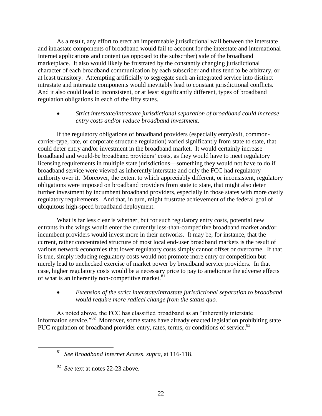As a result, any effort to erect an impermeable jurisdictional wall between the interstate and intrastate components of broadband would fail to account for the interstate and international Internet applications and content (as opposed to the subscriber) side of the broadband marketplace. It also would likely be frustrated by the constantly changing jurisdictional character of each broadband communication by each subscriber and thus tend to be arbitrary, or at least transitory. Attempting artificially to segregate such an integrated service into distinct intrastate and interstate components would inevitably lead to constant jurisdictional conflicts. And it also could lead to inconsistent, or at least significantly different, types of broadband regulation obligations in each of the fifty states.

## *Strict interstate/intrastate jurisdictional separation of broadband could increase entry costs and/or reduce broadband investment.*

If the regulatory obligations of broadband providers (especially entry/exit, commoncarrier-type, rate, or corporate structure regulation) varied significantly from state to state, that could deter entry and/or investment in the broadband market. It would certainly increase broadband and would-be broadband providers' costs, as they would have to meet regulatory licensing requirements in multiple state jurisdictions—something they would not have to do if broadband service were viewed as inherently interstate and only the FCC had regulatory authority over it. Moreover, the extent to which appreciably different, or inconsistent, regulatory obligations were imposed on broadband providers from state to state, that might also deter further investment by incumbent broadband providers, especially in those states with more costly regulatory requirements. And that, in turn, might frustrate achievement of the federal goal of ubiquitous high-speed broadband deployment.

What is far less clear is whether, but for such regulatory entry costs, potential new entrants in the wings would enter the currently less-than-competitive broadband market and/or incumbent providers would invest more in their networks. It may be, for instance, that the current, rather concentrated structure of most local end-user broadband markets is the result of various network economies that lower regulatory costs simply cannot offset or overcome. If that is true, simply reducing regulatory costs would not promote more entry or competition but merely lead to unchecked exercise of market power by broadband service providers. In that case, higher regulatory costs would be a necessary price to pay to ameliorate the adverse effects of what is an inherently non-competitive market.<sup>81</sup>

# *Extension of the strict interstate/intrastate jurisdictional separation to broadband would require more radical change from the status quo.*

As noted above, the FCC has classified broadband as an "inherently interstate information service.<sup>382</sup> Moreover, some states have already enacted legislation prohibiting state PUC regulation of broadband provider entry, rates, terms, or conditions of service.<sup>83</sup>

 $\overline{a}$ 

<sup>81</sup> *See Broadband Internet Access*, *supra*, at 116-118.

<sup>82</sup> *See* text at notes 22-23 above.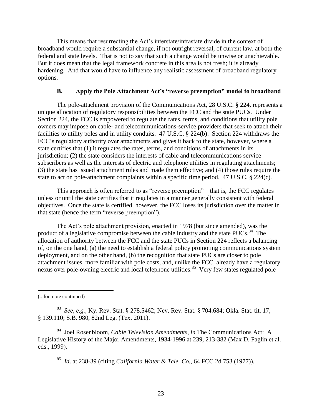This means that resurrecting the Act's interstate/intrastate divide in the context of broadband would require a substantial change, if not outright reversal, of current law, at both the federal and state levels. That is not to say that such a change would be unwise or unachievable. But it does mean that the legal framework concrete in this area is not fresh; it is already hardening. And that would have to influence any realistic assessment of broadband regulatory options.

#### **B. Apply the Pole Attachment Act's "reverse preemption" model to broadband**

<span id="page-26-0"></span>The pole-attachment provision of the Communications Act, 28 U.S.C. § 224, represents a unique allocation of regulatory responsibilities between the FCC and the state PUCs. Under Section 224, the FCC is empowered to regulate the rates, terms, and conditions that utility pole owners may impose on cable- and telecommunications-service providers that seek to attach their facilities to utility poles and in utility conduits. 47 U.S.C. § 224(b). Section 224 withdraws the FCC's regulatory authority over attachments and gives it back to the state, however, where a state certifies that (1) it regulates the rates, terms, and conditions of attachments in its jurisdiction; (2) the state considers the interests of cable and telecommunications service subscribers as well as the interests of electric and telephone utilities in regulating attachments; (3) the state has issued attachment rules and made them effective; and (4) those rules require the state to act on pole-attachment complaints within a specific time period. 47 U.S.C. § 224(c).

This approach is often referred to as "reverse preemption"—that is, the FCC regulates unless or until the state certifies that it regulates in a manner generally consistent with federal objectives. Once the state is certified, however, the FCC loses its jurisdiction over the matter in that state (hence the term "reverse preemption").

The Act's pole attachment provision, enacted in 1978 (but since amended), was the product of a legislative compromise between the cable industry and the state  $PUCs$ .<sup>84</sup> The allocation of authority between the FCC and the state PUCs in Section 224 reflects a balancing of, on the one hand, (a) the need to establish a federal policy promoting communications system deployment, and on the other hand, (b) the recognition that state PUCs are closer to pole attachment issues, more familiar with pole costs, and, unlike the FCC, already have a regulatory nexus over pole-owning electric and local telephone utilities.<sup>85</sup> Very few states regulated pole

 $\overline{a}$ 

<sup>84</sup> Joel Rosenbloom, *Cable Television Amendments*, *in* The Communications Act: A Legislative History of the Major Amendments, 1934-1996 at 239, 213-382 (Max D. Paglin et al. eds., 1999).

<sup>85</sup> *Id*. at 238-39 (citing *California Water & Tele. Co.,* 64 FCC 2d 753 (1977)).

<sup>(...</sup>footnote continued)

<sup>83</sup> *See, e.g.,* Ky. Rev. Stat. § 278.5462; Nev. Rev. Stat. § 704.684; Okla. Stat. tit. 17, § 139.110; S.B. 980, 82nd Leg. (Tex. 2011).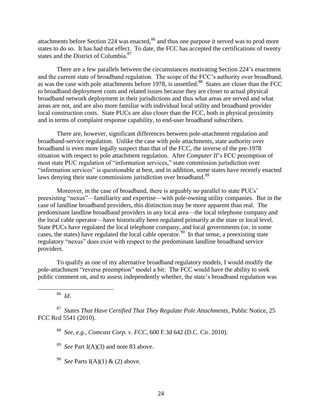attachments before Section 224 was enacted,<sup>86</sup> and thus one purpose it served was to prod more states to do so. It has had that effect. To date, the FCC has accepted the certifications of twenty states and the District of Columbia.<sup>87</sup>

There are a few parallels between the circumstances motivating Section 224's enactment and the current state of broadband regulation. The scope of the FCC's authority over broadband, as was the case with pole attachments before 1978, is unsettled.<sup>88</sup> States are closer than the FCC to broadband deployment costs and related issues because they are closer to actual physical broadband network deployment in their jurisdictions and thus what areas are served and what areas are not, and are also more familiar with individual local utility and broadband provider local construction costs. State PUCs are also closer than the FCC, both in physical proximity and in terms of complaint response capability, to end-user broadband subscribers.

There are, however, significant differences between pole-attachment regulation and broadband-service regulation. Unlike the case with pole attachments, state authority over broadband is even more legally suspect than that of the FCC, the inverse of the pre-1978 situation with respect to pole attachment regulation. After *Computer II*'s FCC preemption of most state PUC regulation of "information services," state commission jurisdiction over "information services" is questionable at best, and in addition, some states have recently enacted laws denying their state commissions jurisdiction over broadband.<sup>89</sup>

Moreover, in the case of broadband, there is arguably no parallel to state PUCs' preexisting "nexus"—familiarity and expertise—with pole-owning utility companies. But in the case of landline broadband providers, this distinction may be more apparent than real. The predominant landline broadband providers in any local area—the local telephone company and the local cable operator—have historically been regulated primarily at the state or local level. State PUCs have regulated the local telephone company, and local governments (or, in some cases, the states) have regulated the local cable operator.<sup>90</sup> In that sense, a preexisting state regulatory "nexus" does exist with respect to the predominant landline broadband service providers.

To qualify as one of my alternative broadband regulatory models, I would modify the pole-attachment "reverse preemption" model a bit: The FCC would have the ability to seek public comment on, and to assess independently whether, the state's broadband regulation was

<sup>86</sup> *Id*.

 $\overline{a}$ 

<sup>87</sup> *States That Have Certified That They Regulate Pole Attachments*, Public Notice, 25 FCC Rcd 5541 (2010).

<sup>88</sup> *See, e.g., Comcast Corp. v. FCC*, 600 F.3d 642 (D.C. Cir. 2010).

<sup>89</sup> *See* Part I(A)(3) and note 83 above.

<sup>90</sup> *See* Parts I(A)(1) & (2) above.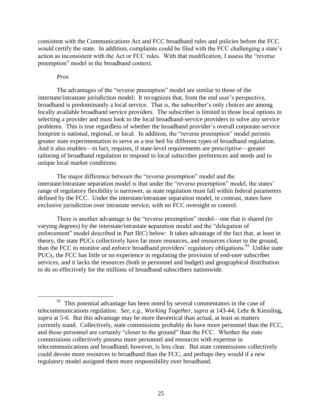consistent with the Communications Act and FCC broadband rules and policies before the FCC would certify the state. In addition, complaints could be filed with the FCC challenging a state's action as inconsistent with the Act or FCC rules. With that modification, I assess the "reverse preemption" model in the broadband context.

#### *Pros*

 $\overline{a}$ 

The advantages of the "reverse preemption" model are similar to those of the interstate/intrastate jurisdiction model: It recognizes that, from the end user's perspective, broadband is predominantly a local service. That is, the subscriber's only choices are among locally available broadband service providers. The subscriber is limited to those local options in selecting a provider and must look to the local broadband-service providers to solve any service problems. This is true regardless of whether the broadband provider's overall corporate-service footprint is national, regional, or local. In addition, the "reverse preemption" model permits greater state experimentation to serve as a test bed for different types of broadband regulation. And it also enables—in fact, requires, if state-level requirements are prescriptive—greater tailoring of broadband regulation to respond to local subscriber preferences and needs and to unique local market conditions.

The major difference between the "reverse preemption" model and the interstate/intrastate separation model is that under the "reverse preemption" model, the states' range of regulatory flexibility is narrower, as state regulation must fall within federal parameters defined by the FCC. Under the interstate/intrastate separation model, in contrast, states have exclusive jurisdiction over intrastate service, with no FCC oversight or control.

There is another advantage to the "reverse preemption" model—one that is shared (to varying degrees) by the interstate/intrastate separation model and the "delegation of enforcement" model described in Part  $II(C)$  below: It takes advantage of the fact that, at least in theory, the state PUCs collectively have far more resources, and resources closer to the ground, than the FCC to monitor and enforce broadband providers' regulatory obligations.<sup>91</sup> Unlike state PUCs, the FCC has little or no experience in regulating the provision of end-user subscriber services, and it lacks the resources (both in personnel and budget) and geographical distribution to do so effectively for the millions of broadband subscribers nationwide.

<sup>&</sup>lt;sup>91</sup> This potential advantage has been noted by several commentators in the case of telecommunications regulation. *See, e.g., Working Together*, *supra* at 143-44; Lehr & Kiessling, *supra* at 5-6. But this advantage may be more theoretical than actual, at least as matters currently stand. Collectively, state commissions probably do have more personnel than the FCC, and those personnel are certainly "closer to the ground" than the FCC. Whether the state commissions collectively possess more personnel and resources with expertise in telecommunications and broadband, however, is less clear. But state commissions collectively could devote more resources to broadband than the FCC, and perhaps they would if a new regulatory model assigned them more responsibility over broadband.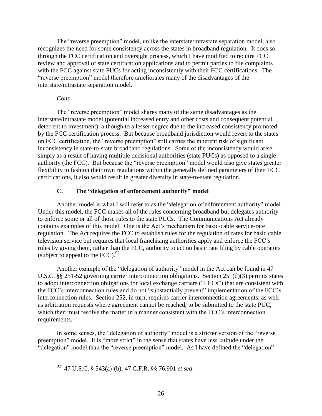The "reverse preemption" model, unlike the interstate/intrastate separation model, also recognizes the need for some consistency across the states in broadband regulation. It does so through the FCC certification and oversight process, which I have modified to require FCC review and approval of state certification applications and to permit parties to file complaints with the FCC against state PUCs for acting inconsistently with their FCC certifications. The "reverse preemption" model therefore ameliorates many of the disadvantages of the interstate/intrastate separation model.

#### *Cons*

 $\overline{a}$ 

The "reverse preemption" model shares many of the same disadvantages as the interstate/intrastate model (potential increased entry and other costs and consequent potential deterrent to investment), although to a lesser degree due to the increased consistency promoted by the FCC certification process. But because broadband jurisdiction would revert to the states on FCC certification, the "reverse preemption" still carries the inherent risk of significant inconsistency in state-to-state broadband regulations. Some of the inconsistency would arise simply as a result of having multiple decisional authorities (state PUCs) as opposed to a single authority (the FCC). But because the "reverse preemption" model would also give states greater flexibility to fashion their own regulations within the generally defined parameters of their FCC certifications, it also would result in greater diversity in state-to-state regulation.

#### **C. The "delegation of enforcement authority" model**

<span id="page-29-0"></span>Another model is what I will refer to as the "delegation of enforcement authority" model. Under this model, the FCC makes all of the rules concerning broadband but delegates authority to enforce some or all of those rules to the state PUCs. The Communications Act already contains examples of this model. One is the Act's mechanism for basic-cable service-rate regulation. The Act requires the FCC to establish rules for the regulation of rates for basic cable television service but requires that local franchising authorities apply and enforce the FCC's rules by giving them, rather than the FCC, authority to act on basic rate filing by cable operators (subject to appeal to the FCC). $92$ 

Another example of the "delegation of authority" model in the Act can be found in 47 U.S.C. §§ 251-52 governing carrier interconnection obligations. Section 251(d)(3) permits states to adopt interconnection obligations for local exchange carriers ("LECs") that are consistent with the FCC's interconnection rules and do not "substantially prevent" implementation of the FCC's interconnection rules. Section 252, in turn, requires carrier interconnection agreements, as well as arbitration requests where agreement cannot be reached, to be submitted to the state PUC, which then must resolve the matter in a manner consistent with the FCC's interconnection requirements.

In some senses, the "delegation of authority" model is a stricter version of the "reverse" preemption" model. It is "more strict" in the sense that states have less latitude under the "delegation" model than the "reverse preemption" model. As I have defined the "delegation"

<sup>92</sup> 47 U.S.C. § 543(a)-(b); 47 C.F.R. §§ 76.901 *et seq*.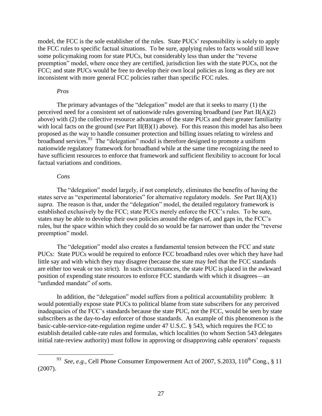model, the FCC is the sole establisher of the rules. State PUCs' responsibility is solely to apply the FCC rules to specific factual situations. To be sure, applying rules to facts would still leave some policymaking room for state PUCs, but considerably less than under the "reverse" preemption" model, where once they are certified, jurisdiction lies with the state PUCs, not the FCC; and state PUCs would be free to develop their own local policies as long as they are not inconsistent with more general FCC policies rather than specific FCC rules.

#### *Pros*

The primary advantages of the "delegation" model are that it seeks to marry  $(1)$  the perceived need for a consistent set of nationwide rules governing broadband (*see* Part II(A)(2) above) with (2) the collective resource advantages of the state PUCs and their greater familiarity with local facts on the ground (*see* Part II(B)(1) above). For this reason this model has also been proposed as the way to handle consumer protection and billing issues relating to wireless and  $b$ roadband services.<sup>93</sup> The "delegation" model is therefore designed to promote a uniform nationwide regulatory framework for broadband while at the same time recognizing the need to have sufficient resources to enforce that framework and sufficient flexibility to account for local factual variations and conditions.

#### *Cons*

 $\overline{a}$ 

The "delegation" model largely, if not completely, eliminates the benefits of having the states serve as "experimental laboratories" for alternative regulatory models. *See* Part II(A)(1) *supra*. The reason is that, under the "delegation" model, the detailed regulatory framework is established exclusively by the FCC; state PUCs merely enforce the FCC's rules. To be sure, states may be able to develop their own policies around the edges of, and gaps in, the FCC's rules, but the space within which they could do so would be far narrower than under the "reverse" preemption" model.

The "delegation" model also creates a fundamental tension between the FCC and state PUCs: State PUCs would be required to enforce FCC broadband rules over which they have had little say and with which they may disagree (because the state may feel that the FCC standards are either too weak or too strict). In such circumstances, the state PUC is placed in the awkward position of expending state resources to enforce FCC standards with which it disagrees—an "unfunded mandate" of sorts.

In addition, the "delegation" model suffers from a political accountability problem: It would potentially expose state PUCs to political blame from state subscribers for any perceived inadequacies of the FCC's standards because the state PUC, not the FCC, would be seen by state subscribers as the day-to-day enforcer of those standards. An example of this phenomenon is the basic-cable-service-rate-regulation regime under 47 U.S.C. § 543, which requires the FCC to establish detailed cable-rate rules and formulas, which localities (to whom Section 543 delegates initial rate-review authority) must follow in approving or disapproving cable operators' requests

<sup>&</sup>lt;sup>93</sup> *See*, *e.g.*, Cell Phone Consumer Empowerment Act of 2007, S.2033, 110<sup>th</sup> Cong., § 11 (2007).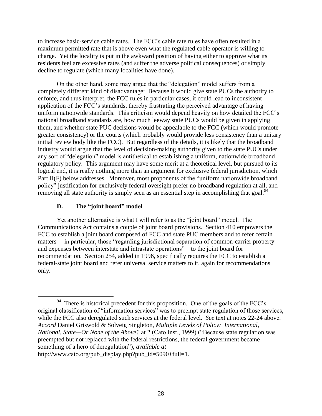to increase basic-service cable rates. The FCC's cable rate rules have often resulted in a maximum permitted rate that is above even what the regulated cable operator is willing to charge. Yet the locality is put in the awkward position of having either to approve what its residents feel are excessive rates (and suffer the adverse political consequences) or simply decline to regulate (which many localities have done).

On the other hand, some may argue that the "delegation" model suffers from a completely different kind of disadvantage: Because it would give state PUCs the authority to enforce, and thus interpret, the FCC rules in particular cases, it could lead to inconsistent application of the FCC's standards, thereby frustrating the perceived advantage of having uniform nationwide standards. This criticism would depend heavily on how detailed the FCC's national broadband standards are, how much leeway state PUCs would be given in applying them, and whether state PUC decisions would be appealable to the FCC (which would promote greater consistency) or the courts (which probably would provide less consistency than a unitary initial review body like the FCC). But regardless of the details, it is likely that the broadband industry would argue that the level of decision-making authority given to the state PUCs under any sort of "delegation" model is antithetical to establishing a uniform, nationwide broadband regulatory policy. This argument may have some merit at a theoretical level, but pursued to its logical end, it is really nothing more than an argument for exclusive federal jurisdiction, which Part II(F) below addresses. Moreover, most proponents of the "uniform nationwide broadband policy‖ justification for exclusively federal oversight prefer no broadband regulation at all, and removing all state authority is simply seen as an essential step in accomplishing that goal.<sup>94</sup>

# **D. The "joint board" model**

<span id="page-31-0"></span>Yet another alternative is what I will refer to as the "joint board" model. The Communications Act contains a couple of joint board provisions. Section 410 empowers the FCC to establish a joint board composed of FCC and state PUC members and to refer certain matters— in particular, those "regarding jurisdictional separation of common-carrier property and expenses between interstate and intrastate operations"—to the joint board for recommendation. Section 254, added in 1996, specifically requires the FCC to establish a federal-state joint board and refer universal service matters to it, again for recommendations only.

 $\overline{a}$ <sup>94</sup> There is historical precedent for this proposition. One of the goals of the FCC's original classification of "information services" was to preempt state regulation of those services, while the FCC also deregulated such services at the federal level. *See* text at notes 22-24 above. *Accord* Daniel Griswold & Solveig Singleton, *Multiple Levels of Policy: International, National, State—Or None of the Above?* at 2 (Cato Inst., 1999) ("Because state regulation was preempted but not replaced with the federal restrictions, the federal government became something of a hero of deregulation"), *available at* http://www.cato.org/pub\_display.php?pub\_id=5090+full=1.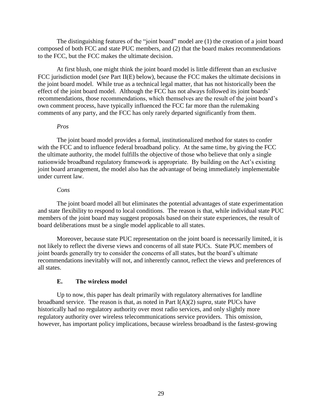The distinguishing features of the "joint board" model are  $(1)$  the creation of a joint board composed of both FCC and state PUC members, and (2) that the board makes recommendations to the FCC, but the FCC makes the ultimate decision.

At first blush, one might think the joint board model is little different than an exclusive FCC jurisdiction model (*see* Part II(E) below), because the FCC makes the ultimate decisions in the joint board model. While true as a technical legal matter, that has not historically been the effect of the joint board model. Although the FCC has not always followed its joint boards' recommendations, those recommendations, which themselves are the result of the joint board's own comment process, have typically influenced the FCC far more than the rulemaking comments of any party, and the FCC has only rarely departed significantly from them.

#### *Pros*

The joint board model provides a formal, institutionalized method for states to confer with the FCC and to influence federal broadband policy. At the same time, by giving the FCC the ultimate authority, the model fulfills the objective of those who believe that only a single nationwide broadband regulatory framework is appropriate. By building on the Act's existing joint board arrangement, the model also has the advantage of being immediately implementable under current law.

#### *Cons*

The joint board model all but eliminates the potential advantages of state experimentation and state flexibility to respond to local conditions. The reason is that, while individual state PUC members of the joint board may suggest proposals based on their state experiences, the result of board deliberations must be a single model applicable to all states.

Moreover, because state PUC representation on the joint board is necessarily limited, it is not likely to reflect the diverse views and concerns of all state PUCs. State PUC members of joint boards generally try to consider the concerns of all states, but the board's ultimate recommendations inevitably will not, and inherently cannot, reflect the views and preferences of all states.

# **E. The wireless model**

<span id="page-32-0"></span>Up to now, this paper has dealt primarily with regulatory alternatives for landline broadband service. The reason is that, as noted in Part I(A)(2) *supra*, state PUCs have historically had no regulatory authority over most radio services, and only slightly more regulatory authority over wireless telecommunications service providers. This omission, however, has important policy implications, because wireless broadband is the fastest-growing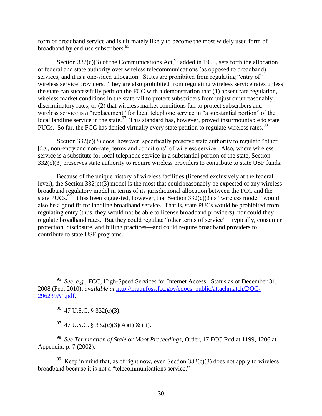form of broadband service and is ultimately likely to become the most widely used form of broadband by end-use subscribers.<sup>95</sup>

Section 332(c)(3) of the Communications Act,  $96$  added in 1993, sets forth the allocation of federal and state authority over wireless telecommunications (as opposed to broadband) services, and it is a one-sided allocation. States are prohibited from regulating "entry of" wireless service providers. They are also prohibited from regulating wireless service rates unless the state can successfully petition the FCC with a demonstration that (1) absent rate regulation, wireless market conditions in the state fail to protect subscribers from unjust or unreasonably discriminatory rates, or (2) that wireless market conditions fail to protect subscribers and wireless service is a "replacement" for local telephone service in "a substantial portion" of the local landline service in the state.<sup>97</sup> This standard has, however, proved insurmountable to state PUCs. So far, the FCC has denied virtually every state petition to regulate wireless rates.<sup>98</sup>

Section  $332(c)(3)$  does, however, specifically preserve state authority to regulate "other [*i.e.*, non-entry and non-rate] terms and conditions" of wireless service. Also, where wireless service is a substitute for local telephone service in a substantial portion of the state, Section 332(c)(3) preserves state authority to require wireless providers to contribute to state USF funds.

Because of the unique history of wireless facilities (licensed exclusively at the federal level), the Section  $332(c)(3)$  model is the most that could reasonably be expected of any wireless broadband regulatory model in terms of its jurisdictional allocation between the FCC and the state PUCs.<sup>99</sup> It has been suggested, however, that Section 332(c)(3)'s "wireless model" would also be a good fit for landline broadband service. That is, state PUCs would be prohibited from regulating entry (thus, they would not be able to license broadband providers), nor could they regulate broadband rates. But they could regulate "other terms of service"—typically, consumer protection, disclosure, and billing practices—and could require broadband providers to contribute to state USF programs.

 $96$  47 U.S.C. § 332(c)(3).

 $\overline{a}$ 

<sup>97</sup> 47 U.S.C. § 332(c)(3)(A)(i) & (ii).

<sup>98</sup> *See Termination of Stale or Moot Proceedings*, Order, 17 FCC Rcd at 1199, 1206 at Appendix, p. 7 (2002).

<sup>99</sup> Keep in mind that, as of right now, even Section  $332(c)(3)$  does not apply to wireless broadband because it is not a "telecommunications service."

<sup>95</sup> *See, e.g.,* FCC, High-Speed Services for Internet Access: Status as of December 31, 2008 (Feb. 2010), *available at* [http://hraunfoss.fcc.gov/edocs\\_public/attachmatch/DOC-](http://hraunfoss.fcc.gov/edocs_public/attachmatch/DOC-296239A1.pdf)[296239A1.pdf.](http://hraunfoss.fcc.gov/edocs_public/attachmatch/DOC-296239A1.pdf)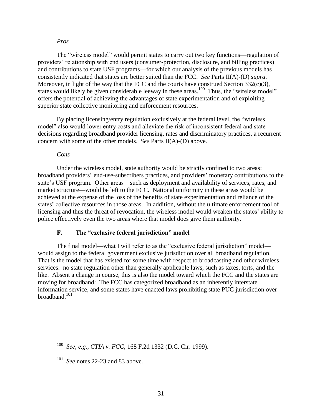#### *Pros*

The "wireless model" would permit states to carry out two key functions—regulation of providers' relationship with end users (consumer-protection, disclosure, and billing practices) and contributions to state USF programs—for which our analysis of the previous models has consistently indicated that states are better suited than the FCC. *See* Parts II(A)-(D) *supra*. Moreover, in light of the way that the FCC and the courts have construed Section  $332(c)(3)$ , states would likely be given considerable leeway in these areas.<sup>100</sup> Thus, the "wireless model" offers the potential of achieving the advantages of state experimentation and of exploiting superior state collective monitoring and enforcement resources.

By placing licensing/entry regulation exclusively at the federal level, the "wireless" model" also would lower entry costs and alleviate the risk of inconsistent federal and state decisions regarding broadband provider licensing, rates and discriminatory practices, a recurrent concern with some of the other models. *See* Parts II(A)-(D) above.

#### *Cons*

 $\overline{a}$ 

Under the wireless model, state authority would be strictly confined to two areas: broadband providers' end-use-subscribers practices, and providers' monetary contributions to the state's USF program. Other areas—such as deployment and availability of services, rates, and market structure—would be left to the FCC. National uniformity in these areas would be achieved at the expense of the loss of the benefits of state experimentation and reliance of the states' collective resources in those areas. In addition, without the ultimate enforcement tool of licensing and thus the threat of revocation, the wireless model would weaken the states' ability to police effectively even the two areas where that model does give them authority.

#### **F. The "exclusive federal jurisdiction" model**

<span id="page-34-0"></span>The final model—what I will refer to as the "exclusive federal jurisdiction" model would assign to the federal government exclusive jurisdiction over all broadband regulation. That is the model that has existed for some time with respect to broadcasting and other wireless services: no state regulation other than generally applicable laws, such as taxes, torts, and the like. Absent a change in course, this is also the model toward which the FCC and the states are moving for broadband: The FCC has categorized broadband as an inherently interstate information service, and some states have enacted laws prohibiting state PUC jurisdiction over broadband.<sup>101</sup>

<sup>100</sup> *See, e.g., CTIA v. FCC*, 168 F.2d 1332 (D.C. Cir. 1999).

<sup>101</sup> *See* notes 22-23 and 83 above.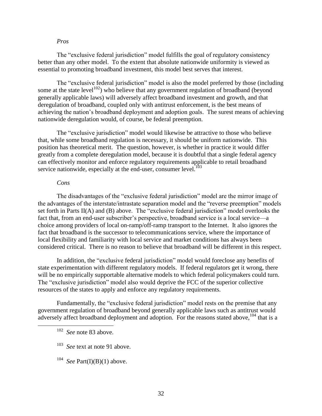#### *Pros*

The "exclusive federal jurisdiction" model fulfills the goal of regulatory consistency better than any other model. To the extent that absolute nationwide uniformity is viewed as essential to promoting broadband investment, this model best serves that interest.

The "exclusive federal jurisdiction" model is also the model preferred by those (including some at the state level<sup>102</sup>) who believe that any government regulation of broadband (beyond generally applicable laws) will adversely affect broadband investment and growth, and that deregulation of broadband, coupled only with antitrust enforcement, is the best means of achieving the nation's broadband deployment and adoption goals. The surest means of achieving nationwide deregulation would, of course, be federal preemption.

The "exclusive jurisdiction" model would likewise be attractive to those who believe that, while some broadband regulation is necessary, it should be uniform nationwide. This position has theoretical merit. The question, however, is whether in practice it would differ greatly from a complete deregulation model, because it is doubtful that a single federal agency can effectively monitor and enforce regulatory requirements applicable to retail broadband service nationwide, especially at the end-user, consumer level. $103$ 

#### *Cons*

The disadvantages of the "exclusive federal jurisdiction" model are the mirror image of the advantages of the interstate/intrastate separation model and the "reverse preemption" models set forth in Parts II(A) and (B) above. The "exclusive federal jurisdiction" model overlooks the fact that, from an end-user subscriber's perspective, broadband service is a local service—a choice among providers of local on-ramp/off-ramp transport to the Internet. It also ignores the fact that broadband is the successor to telecommunications service, where the importance of local flexibility and familiarity with local service and market conditions has always been considered critical. There is no reason to believe that broadband will be different in this respect.

In addition, the "exclusive federal jurisdiction" model would foreclose any benefits of state experimentation with different regulatory models. If federal regulators get it wrong, there will be no empirically supportable alternative models to which federal policymakers could turn. The "exclusive jurisdiction" model also would deprive the FCC of the superior collective resources of the states to apply and enforce any regulatory requirements.

Fundamentally, the "exclusive federal jurisdiction" model rests on the premise that any government regulation of broadband beyond generally applicable laws such as antitrust would adversely affect broadband deployment and adoption. For the reasons stated above.<sup>104</sup> that is a

 $\overline{a}$ 

<sup>102</sup> *See* note 83 above.

<sup>103</sup> *See* text at note 91 above.

<sup>&</sup>lt;sup>104</sup> *See* Part(I)(B)(1) above.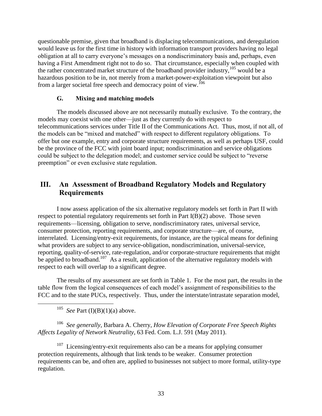questionable premise, given that broadband is displacing telecommunications, and deregulation would leave us for the first time in history with information transport providers having no legal obligation at all to carry everyone's messages on a nondiscriminatory basis and, perhaps, even having a First Amendment right not to do so. That circumstance, especially when coupled with the rather concentrated market structure of the broadband provider industry, $105$  would be a hazardous position to be in, not merely from a market-power-exploitation viewpoint but also from a larger societal free speech and democracy point of view.<sup>106</sup>

## **G. Mixing and matching models**

<span id="page-36-0"></span>The models discussed above are not necessarily mutually exclusive. To the contrary, the models may coexist with one other—just as they currently do with respect to telecommunications services under Title II of the Communications Act. Thus, most, if not all, of the models can be "mixed and matched" with respect to different regulatory obligations. To offer but one example, entry and corporate structure requirements, as well as perhaps USF, could be the province of the FCC with joint board input; nondiscrimination and service obligations could be subject to the delegation model; and customer service could be subject to "reverse" preemption" or even exclusive state regulation.

# <span id="page-36-1"></span>**III. An Assessment of Broadband Regulatory Models and Regulatory Requirements**

I now assess application of the six alternative regulatory models set forth in Part II with respect to potential regulatory requirements set forth in Part I(B)(2) above. Those seven requirements—licensing, obligation to serve, nondiscriminatory rates, universal service, consumer protection, reporting requirements, and corporate structure—are, of course, interrelated. Licensing/entry-exit requirements, for instance, are the typical means for defining what providers are subject to any service-obligation, nondiscrimination, universal-service, reporting, quality-of-service, rate-regulation, and/or corporate-structure requirements that might be applied to broadband.<sup>107</sup> As a result, application of the alternative regulatory models with respect to each will overlap to a significant degree.

The results of my assessment are set forth in Table 1. For the most part, the results in the table flow from the logical consequences of each model's assignment of responsibilities to the FCC and to the state PUCs, respectively. Thus, under the interstate/intrastate separation model,

<sup>105</sup> *See* Part (I)(B)(1)(a) above.

 $\overline{a}$ 

<sup>106</sup> *See generally*, Barbara A. Cherry, *How Elevation of Corporate Free Speech Rights Affects Legality of Network Neutrality*, 63 Fed. Com. L.J. 591 (May 2011).

 $107$  Licensing/entry-exit requirements also can be a means for applying consumer protection requirements, although that link tends to be weaker. Consumer protection requirements can be, and often are, applied to businesses not subject to more formal, utility-type regulation.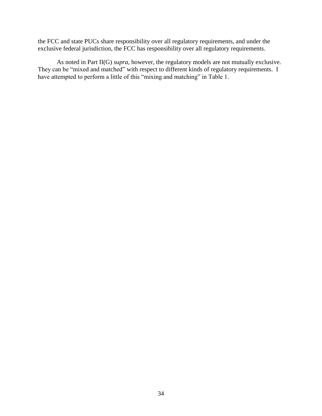the FCC and state PUCs share responsibility over all regulatory requirements, and under the exclusive federal jurisdiction, the FCC has responsibility over all regulatory requirements.

As noted in Part II(G) *supra*, however, the regulatory models are not mutually exclusive. They can be "mixed and matched" with respect to different kinds of regulatory requirements. I have attempted to perform a little of this "mixing and matching" in Table 1.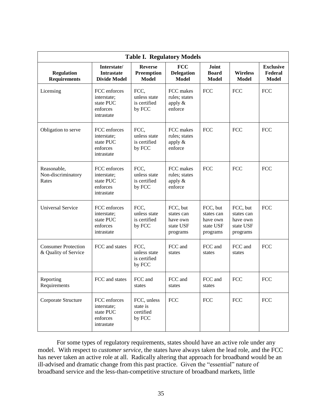| <b>Table I. Regulatory Models</b>                  |                                                                    |                                                |                                                             |                                                             |                                                             |                                             |  |  |  |  |  |  |
|----------------------------------------------------|--------------------------------------------------------------------|------------------------------------------------|-------------------------------------------------------------|-------------------------------------------------------------|-------------------------------------------------------------|---------------------------------------------|--|--|--|--|--|--|
| <b>Regulation</b><br><b>Requirements</b>           | Interstate/<br><b>Intrastate</b><br><b>Divide Model</b>            | <b>Reverse</b><br>Preemption<br><b>Model</b>   | <b>FCC</b><br><b>Delegation</b><br><b>Model</b>             | Joint<br><b>Board</b><br><b>Model</b>                       | <b>Wireless</b><br><b>Model</b>                             | <b>Exclusive</b><br>Federal<br><b>Model</b> |  |  |  |  |  |  |
| Licensing                                          | FCC enforces<br>interstate;<br>state PUC<br>enforces<br>intrastate | FCC,<br>unless state<br>is certified<br>by FCC | FCC makes<br>rules; states<br>apply $\&$<br>enforce         | <b>FCC</b>                                                  | <b>FCC</b>                                                  | <b>FCC</b>                                  |  |  |  |  |  |  |
| Obligation to serve                                | FCC enforces<br>interstate;<br>state PUC<br>enforces<br>intrastate | FCC,<br>unless state<br>is certified<br>by FCC | FCC makes<br>rules; states<br>apply $&$<br>enforce          | <b>FCC</b>                                                  | <b>FCC</b>                                                  | <b>FCC</b>                                  |  |  |  |  |  |  |
| Reasonable,<br>Non-discriminatory<br>Rates         | FCC enforces<br>interstate;<br>state PUC<br>enforces<br>intrastate | FCC,<br>unless state<br>is certified<br>by FCC | FCC makes<br>rules; states<br>apply $\&$<br>enforce         | <b>FCC</b>                                                  | <b>FCC</b>                                                  | <b>FCC</b>                                  |  |  |  |  |  |  |
| <b>Universal Service</b>                           | FCC enforces<br>interstate;<br>state PUC<br>enforces<br>intrastate | FCC,<br>unless state<br>is certified<br>by FCC | FCC, but<br>states can<br>have own<br>state USF<br>programs | FCC, but<br>states can<br>have own<br>state USF<br>programs | FCC, but<br>states can<br>have own<br>state USF<br>programs | <b>FCC</b>                                  |  |  |  |  |  |  |
| <b>Consumer Protection</b><br>& Quality of Service | FCC and states                                                     | FCC,<br>unless state<br>is certified<br>by FCC | FCC and<br>states                                           | FCC and<br>states                                           | FCC and<br>states                                           | <b>FCC</b>                                  |  |  |  |  |  |  |
| Reporting<br>Requirements                          | FCC and states                                                     | FCC and<br>states                              | FCC and<br>states                                           | FCC and<br>states                                           | <b>FCC</b>                                                  | <b>FCC</b>                                  |  |  |  |  |  |  |
| Corporate Structure                                | FCC enforces<br>interstate;<br>state PUC<br>enforces<br>intrastate | FCC, unless<br>state is<br>certified<br>by FCC | <b>FCC</b>                                                  | <b>FCC</b>                                                  | <b>FCC</b>                                                  | <b>FCC</b>                                  |  |  |  |  |  |  |

For some types of regulatory requirements, states should have an active role under any model. With respect to *customer service*, the states have always taken the lead role, and the FCC has never taken an active role at all. Radically altering that approach for broadband would be an ill-advised and dramatic change from this past practice. Given the "essential" nature of broadband service and the less-than-competitive structure of broadband markets, little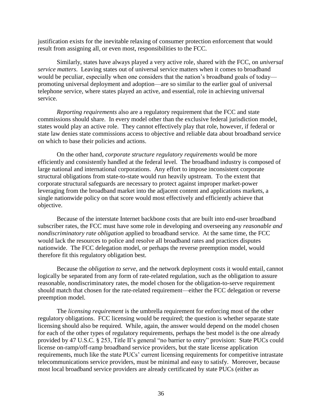justification exists for the inevitable relaxing of consumer protection enforcement that would result from assigning all, or even most, responsibilities to the FCC.

Similarly, states have always played a very active role, shared with the FCC, on *universal service matters*. Leaving states out of universal service matters when it comes to broadband would be peculiar, especially when one considers that the nation's broadband goals of today promoting universal deployment and adoption—are so similar to the earlier goal of universal telephone service, where states played an active, and essential, role in achieving universal service.

*Reporting requirements* also are a regulatory requirement that the FCC and state commissions should share. In every model other than the exclusive federal jurisdiction model, states would play an active role. They cannot effectively play that role, however, if federal or state law denies state commissions access to objective and reliable data about broadband service on which to base their policies and actions.

On the other hand, *corporate structure regulatory requirements* would be more efficiently and consistently handled at the federal level. The broadband industry is composed of large national and international corporations. Any effort to impose inconsistent corporate structural obligations from state-to-state would run heavily upstream. To the extent that corporate structural safeguards are necessary to protect against improper market-power leveraging from the broadband market into the adjacent content and applications markets, a single nationwide policy on that score would most effectively and efficiently achieve that objective.

Because of the interstate Internet backbone costs that are built into end-user broadband subscriber rates, the FCC must have some role in developing and overseeing any *reasonable and nondiscriminatory rate obligation* applied to broadband service. At the same time, the FCC would lack the resources to police and resolve all broadband rates and practices disputes nationwide. The FCC delegation model, or perhaps the reverse preemption model, would therefore fit this regulatory obligation best.

Because the *obligation to serve*, and the network deployment costs it would entail, cannot logically be separated from any form of rate-related regulation, such as the obligation to assure reasonable, nondiscriminatory rates, the model chosen for the obligation-to-serve requirement should match that chosen for the rate-related requirement—either the FCC delegation or reverse preemption model.

The *licensing requirement* is the umbrella requirement for enforcing most of the other regulatory obligations. FCC licensing would be required; the question is whether separate state licensing should also be required. While, again, the answer would depend on the model chosen for each of the other types of regulatory requirements, perhaps the best model is the one already provided by 47 U.S.C. § 253, Title II's general "no barrier to entry" provision: State PUCs could license on-ramp/off-ramp broadband service providers, but the state license application requirements, much like the state PUCs' current licensing requirements for competitive intrastate telecommunications service providers, must be minimal and easy to satisfy. Moreover, because most local broadband service providers are already certificated by state PUCs (either as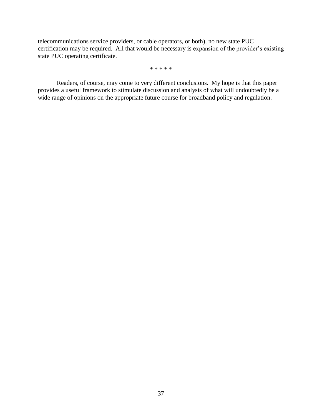telecommunications service providers, or cable operators, or both), no new state PUC certification may be required. All that would be necessary is expansion of the provider's existing state PUC operating certificate.

\* \* \* \* \*

Readers, of course, may come to very different conclusions. My hope is that this paper provides a useful framework to stimulate discussion and analysis of what will undoubtedly be a wide range of opinions on the appropriate future course for broadband policy and regulation.